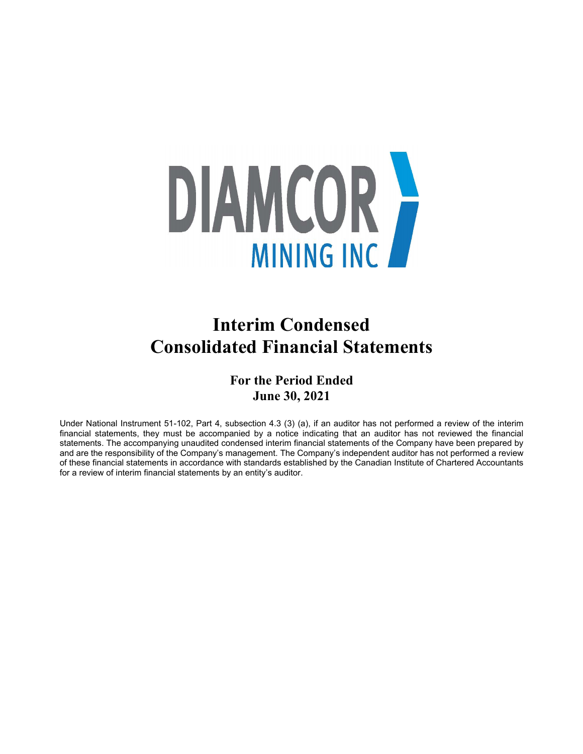

# **Interim Condensed Consolidated Financial Statements**

## **For the Period Ended June 30, 2021**

Under National Instrument 51-102, Part 4, subsection 4.3 (3) (a), if an auditor has not performed a review of the interim financial statements, they must be accompanied by a notice indicating that an auditor has not reviewed the financial statements. The accompanying unaudited condensed interim financial statements of the Company have been prepared by and are the responsibility of the Company's management. The Company's independent auditor has not performed a review of these financial statements in accordance with standards established by the Canadian Institute of Chartered Accountants for a review of interim financial statements by an entity's auditor.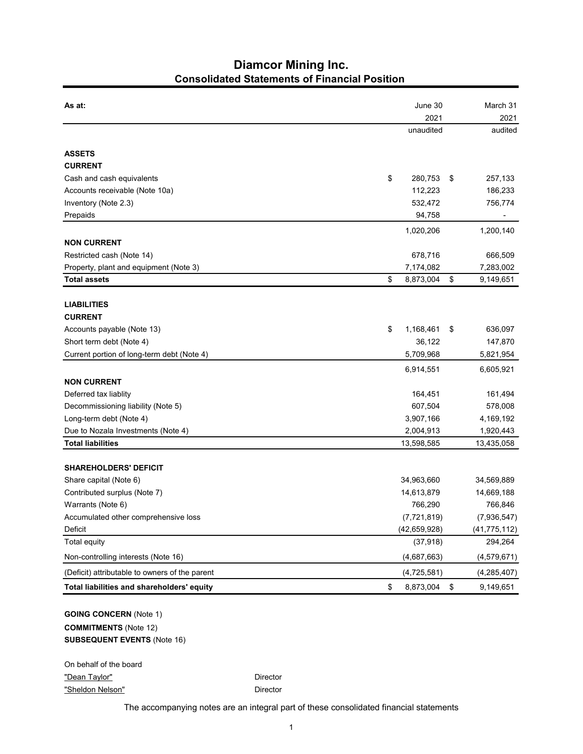## **Diamcor Mining Inc. Consolidated Statements of Financial Position**

| As at:                                                                                              | June 30             | March 31        |
|-----------------------------------------------------------------------------------------------------|---------------------|-----------------|
|                                                                                                     | 2021                | 2021            |
|                                                                                                     | unaudited           | audited         |
| <b>ASSETS</b>                                                                                       |                     |                 |
| <b>CURRENT</b>                                                                                      |                     |                 |
| Cash and cash equivalents                                                                           | \$<br>280,753<br>\$ | 257,133         |
| Accounts receivable (Note 10a)                                                                      | 112,223             | 186,233         |
| Inventory (Note 2.3)                                                                                | 532,472             | 756,774         |
| Prepaids                                                                                            | 94,758              |                 |
|                                                                                                     | 1,020,206           | 1,200,140       |
| <b>NON CURRENT</b>                                                                                  |                     |                 |
| Restricted cash (Note 14)                                                                           | 678,716             | 666,509         |
| Property, plant and equipment (Note 3)                                                              | 7,174,082           | 7,283,002       |
| <b>Total assets</b>                                                                                 | \$<br>8,873,004     | \$<br>9,149,651 |
|                                                                                                     |                     |                 |
| <b>LIABILITIES</b>                                                                                  |                     |                 |
| <b>CURRENT</b>                                                                                      |                     |                 |
| Accounts payable (Note 13)                                                                          | \$<br>1,168,461     | 636,097<br>\$   |
| Short term debt (Note 4)                                                                            | 36,122              | 147,870         |
| Current portion of long-term debt (Note 4)                                                          | 5,709,968           | 5,821,954       |
|                                                                                                     | 6,914,551           | 6,605,921       |
| <b>NON CURRENT</b>                                                                                  |                     |                 |
| Deferred tax liablity                                                                               | 164,451             | 161,494         |
| Decommissioning liability (Note 5)                                                                  | 607,504             | 578,008         |
| Long-term debt (Note 4)                                                                             | 3,907,166           | 4,169,192       |
| Due to Nozala Investments (Note 4)                                                                  | 2,004,913           | 1,920,443       |
| <b>Total liabilities</b>                                                                            | 13,598,585          | 13,435,058      |
| <b>SHAREHOLDERS' DEFICIT</b>                                                                        |                     |                 |
| Share capital (Note 6)                                                                              | 34,963,660          | 34,569,889      |
| Contributed surplus (Note 7)                                                                        | 14,613,879          | 14,669,188      |
| Warrants (Note 6)                                                                                   | 766,290             | 766,846         |
| Accumulated other comprehensive loss                                                                | (7, 721, 819)       | (7,936,547)     |
| Deficit                                                                                             | (42, 659, 928)      | (41, 775, 112)  |
| Total equity                                                                                        | (37, 918)           | 294,264         |
| Non-controlling interests (Note 16)                                                                 | (4,687,663)         | (4, 579, 671)   |
| (Deficit) attributable to owners of the parent                                                      | (4,725,581)         | (4, 285, 407)   |
| Total liabilities and shareholders' equity                                                          | \$<br>8,873,004     | \$<br>9,149,651 |
| <b>GOING CONCERN (Note 1)</b><br><b>COMMITMENTS (Note 12)</b><br><b>SUBSEQUENT EVENTS (Note 16)</b> |                     |                 |

On behalf of the board "Dean Taylor" **Director** Director "Sheldon Nelson" Director

The accompanying notes are an integral part of these consolidated financial statements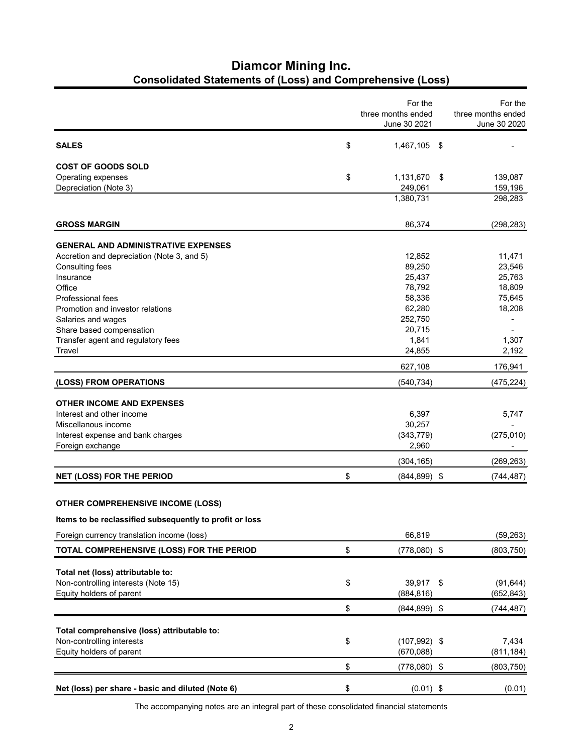# **Diamcor Mining Inc. Consolidated Statements of (Loss) and Comprehensive (Loss)**

|                                                         | For the<br>three months ended | For the<br>three months ended |
|---------------------------------------------------------|-------------------------------|-------------------------------|
|                                                         | June 30 2021                  | June 30 2020                  |
| <b>SALES</b>                                            | \$<br>1,467,105 \$            |                               |
| <b>COST OF GOODS SOLD</b>                               |                               |                               |
| Operating expenses                                      | \$<br>1,131,670               | \$<br>139,087                 |
| Depreciation (Note 3)                                   | 249,061<br>1,380,731          | 159,196<br>298,283            |
|                                                         |                               |                               |
| <b>GROSS MARGIN</b>                                     | 86,374                        | (298, 283)                    |
| <b>GENERAL AND ADMINISTRATIVE EXPENSES</b>              |                               |                               |
| Accretion and depreciation (Note 3, and 5)              | 12,852                        | 11,471                        |
| Consulting fees                                         | 89,250                        | 23,546                        |
| Insurance                                               | 25,437                        | 25,763                        |
| Office                                                  | 78,792                        | 18,809                        |
| <b>Professional fees</b>                                | 58,336                        | 75,645                        |
| Promotion and investor relations                        | 62,280                        | 18,208                        |
| Salaries and wages                                      | 252,750                       |                               |
| Share based compensation                                | 20,715                        |                               |
| Transfer agent and regulatory fees                      | 1,841                         | 1,307                         |
| Travel                                                  | 24,855                        | 2,192                         |
|                                                         | 627,108                       | 176,941                       |
| (LOSS) FROM OPERATIONS                                  | (540, 734)                    | (475, 224)                    |
| <b>OTHER INCOME AND EXPENSES</b>                        |                               |                               |
| Interest and other income                               | 6,397                         | 5,747                         |
| Miscellanous income                                     | 30,257                        |                               |
| Interest expense and bank charges                       | (343, 779)                    | (275, 010)                    |
| Foreign exchange                                        | 2,960                         |                               |
|                                                         | (304, 165)                    | (269, 263)                    |
| NET (LOSS) FOR THE PERIOD                               | \$<br>$(844, 899)$ \$         | (744, 487)                    |
|                                                         |                               |                               |
| <b>OTHER COMPREHENSIVE INCOME (LOSS)</b>                |                               |                               |
| Items to be reclassified subsequently to profit or loss |                               |                               |
| Foreign currency translation income (loss)              | 66,819                        | (59, 263)                     |
| TOTAL COMPREHENSIVE (LOSS) FOR THE PERIOD               | \$<br>$(778,080)$ \$          | (803, 750)                    |
| Total net (loss) attributable to:                       |                               |                               |
| Non-controlling interests (Note 15)                     | \$<br>39,917 \$               | (91, 644)                     |
| Equity holders of parent                                | (884, 816)                    | (652, 843)                    |
|                                                         | \$<br>$(844, 899)$ \$         | (744, 487)                    |
|                                                         |                               |                               |
| Total comprehensive (loss) attributable to:             |                               |                               |
| Non-controlling interests                               | \$<br>$(107, 992)$ \$         | 7,434                         |
| Equity holders of parent                                | (670, 088)                    | (811, 184)                    |
|                                                         | \$<br>$(778,080)$ \$          | (803, 750)                    |
| Net (loss) per share - basic and diluted (Note 6)       | \$<br>$(0.01)$ \$             | (0.01)                        |
|                                                         |                               |                               |

The accompanying notes are an integral part of these consolidated financial statements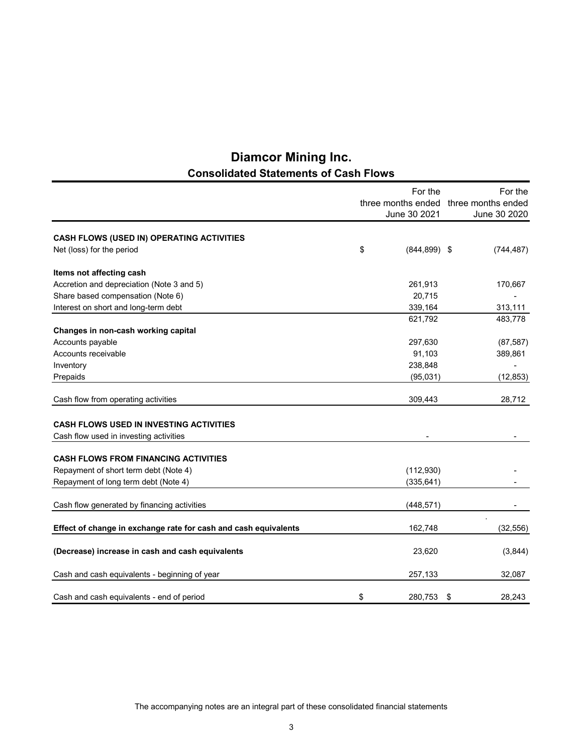| <b>Diamcor Mining Inc.</b>                   |
|----------------------------------------------|
| <b>Consolidated Statements of Cash Flows</b> |

|                                                                 | For the |                    |                    |  |
|-----------------------------------------------------------------|---------|--------------------|--------------------|--|
|                                                                 |         | three months ended | three months ended |  |
|                                                                 |         | June 30 2021       | June 30 2020       |  |
|                                                                 |         |                    |                    |  |
| CASH FLOWS (USED IN) OPERATING ACTIVITIES                       |         |                    |                    |  |
| Net (loss) for the period                                       | \$      | $(844, 899)$ \$    | (744, 487)         |  |
| Items not affecting cash                                        |         |                    |                    |  |
| Accretion and depreciation (Note 3 and 5)                       |         | 261,913            | 170,667            |  |
| Share based compensation (Note 6)                               |         | 20,715             |                    |  |
| Interest on short and long-term debt                            |         | 339,164            | 313,111            |  |
|                                                                 |         | 621,792            | 483,778            |  |
| Changes in non-cash working capital                             |         |                    |                    |  |
| Accounts payable                                                |         | 297,630            | (87, 587)          |  |
| Accounts receivable                                             |         | 91,103             | 389,861            |  |
| Inventory                                                       |         | 238,848            |                    |  |
| Prepaids                                                        |         | (95,031)           | (12, 853)          |  |
| Cash flow from operating activities                             |         | 309,443            | 28,712             |  |
|                                                                 |         |                    |                    |  |
| <b>CASH FLOWS USED IN INVESTING ACTIVITIES</b>                  |         |                    |                    |  |
| Cash flow used in investing activities                          |         |                    |                    |  |
| <b>CASH FLOWS FROM FINANCING ACTIVITIES</b>                     |         |                    |                    |  |
| Repayment of short term debt (Note 4)                           |         | (112,930)          |                    |  |
| Repayment of long term debt (Note 4)                            |         | (335, 641)         |                    |  |
|                                                                 |         |                    |                    |  |
| Cash flow generated by financing activities                     |         | (448, 571)         |                    |  |
|                                                                 |         |                    |                    |  |
| Effect of change in exchange rate for cash and cash equivalents |         | 162,748            | (32, 556)          |  |
| (Decrease) increase in cash and cash equivalents                |         | 23,620             | (3,844)            |  |
| Cash and cash equivalents - beginning of year                   |         | 257,133            | 32,087             |  |
| Cash and cash equivalents - end of period                       | \$      | 280,753            | \$<br>28,243       |  |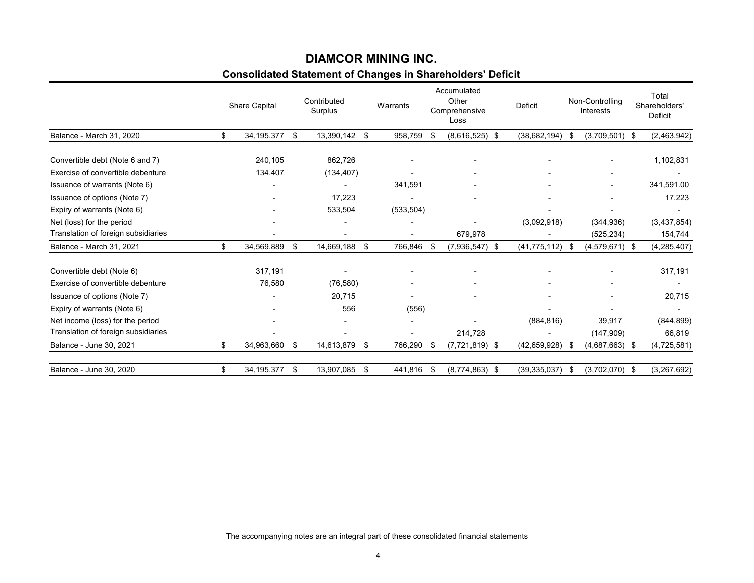# **Consolidated Statement of Changes in Shareholders' Deficit DIAMCOR MINING INC.**

|                                     | Share Capital      | Contributed<br>Surplus   |     | Warrants       |      | Accumulated<br>Other<br>Comprehensive<br>Loss | Deficit        |      | Non-Controlling<br><b>Interests</b> | Total<br>Shareholders'<br>Deficit |
|-------------------------------------|--------------------|--------------------------|-----|----------------|------|-----------------------------------------------|----------------|------|-------------------------------------|-----------------------------------|
| Balance - March 31, 2020            | \$<br>34, 195, 377 | \$<br>13,390,142 \$      |     | 958,759        | \$   | $(8,616,525)$ \$                              | (38, 682, 194) | - \$ | $(3,709,501)$ \$                    | (2,463,942)                       |
|                                     |                    |                          |     |                |      |                                               |                |      |                                     |                                   |
| Convertible debt (Note 6 and 7)     | 240,105            | 862,726                  |     |                |      |                                               |                |      | $\overline{\phantom{a}}$            | 1,102,831                         |
| Exercise of convertible debenture   | 134,407            | (134, 407)               |     |                |      | $\blacksquare$                                |                |      | $\overline{\phantom{0}}$            | $\qquad \qquad \blacksquare$      |
| Issuance of warrants (Note 6)       |                    |                          |     | 341,591        |      |                                               |                |      |                                     | 341,591.00                        |
| Issuance of options (Note 7)        |                    | 17,223                   |     |                |      |                                               |                |      |                                     | 17,223                            |
| Expiry of warrants (Note 6)         |                    | 533,504                  |     | (533, 504)     |      |                                               |                |      |                                     |                                   |
| Net (loss) for the period           |                    |                          |     |                |      |                                               | (3,092,918)    |      | (344, 936)                          | (3,437,854)                       |
| Translation of foreign subsidiaries |                    | $\overline{\phantom{a}}$ |     | $\blacksquare$ |      | 679,978                                       |                |      | (525, 234)                          | 154,744                           |
| Balance - March 31, 2021            | \$<br>34,569,889   | \$<br>14,669,188         | -\$ | 766,846        | -\$  | $(7,936,547)$ \$                              | (41, 775, 112) | - \$ | $(4,579,671)$ \$                    | (4, 285, 407)                     |
| Convertible debt (Note 6)           | 317,191            |                          |     |                |      |                                               |                |      |                                     | 317,191                           |
| Exercise of convertible debenture   | 76,580             | (76, 580)                |     |                |      |                                               |                |      |                                     |                                   |
| Issuance of options (Note 7)        |                    | 20,715                   |     |                |      |                                               |                |      |                                     | 20,715                            |
| Expiry of warrants (Note 6)         |                    | 556                      |     | (556)          |      |                                               |                |      |                                     |                                   |
| Net income (loss) for the period    |                    |                          |     |                |      |                                               | (884, 816)     |      | 39,917                              | (844, 899)                        |
| Translation of foreign subsidiaries |                    |                          |     |                |      | 214,728                                       |                |      | (147,909)                           | 66,819                            |
| Balance - June 30, 2021             | \$<br>34,963,660   | \$<br>14,613,879         | \$  | 766,290        | - \$ | $(7,721,819)$ \$                              | (42.659.928)   | - \$ | $(4,687,663)$ \$                    | (4,725,581)                       |
| Balance - June 30, 2020             | \$<br>34,195,377   | \$<br>13,907,085         | \$  | 441,816        | -\$  | $(8,774,863)$ \$                              | (39, 335, 037) | - \$ | $(3,702,070)$ \$                    | (3,267,692)                       |

The accompanying notes are an integral part of these consolidated financial statements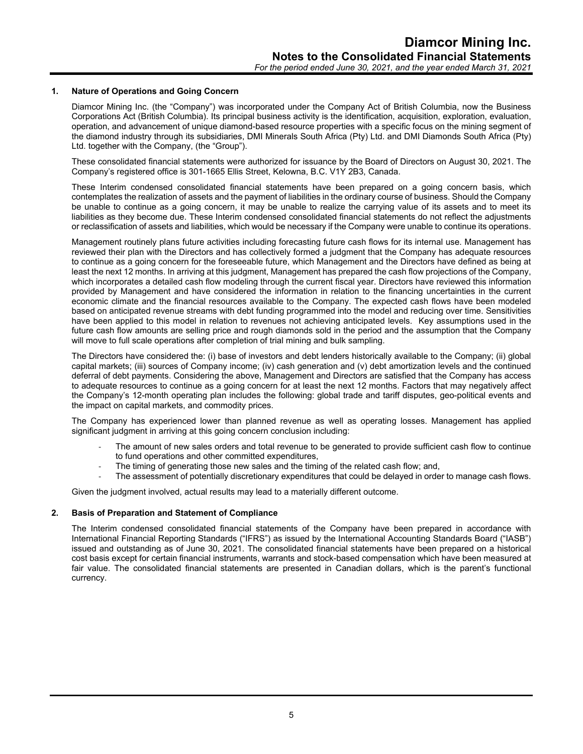## **1. Nature of Operations and Going Concern**

Diamcor Mining Inc. (the "Company") was incorporated under the Company Act of British Columbia, now the Business Corporations Act (British Columbia). Its principal business activity is the identification, acquisition, exploration, evaluation, operation, and advancement of unique diamond-based resource properties with a specific focus on the mining segment of the diamond industry through its subsidiaries, DMI Minerals South Africa (Pty) Ltd. and DMI Diamonds South Africa (Pty) Ltd. together with the Company, (the "Group").

These consolidated financial statements were authorized for issuance by the Board of Directors on August 30, 2021. The Company's registered office is 301-1665 Ellis Street, Kelowna, B.C. V1Y 2B3, Canada.

These Interim condensed consolidated financial statements have been prepared on a going concern basis, which contemplates the realization of assets and the payment of liabilities in the ordinary course of business. Should the Company be unable to continue as a going concern, it may be unable to realize the carrying value of its assets and to meet its liabilities as they become due. These Interim condensed consolidated financial statements do not reflect the adjustments or reclassification of assets and liabilities, which would be necessary if the Company were unable to continue its operations.

Management routinely plans future activities including forecasting future cash flows for its internal use. Management has reviewed their plan with the Directors and has collectively formed a judgment that the Company has adequate resources to continue as a going concern for the foreseeable future, which Management and the Directors have defined as being at least the next 12 months. In arriving at this judgment, Management has prepared the cash flow projections of the Company, which incorporates a detailed cash flow modeling through the current fiscal year. Directors have reviewed this information provided by Management and have considered the information in relation to the financing uncertainties in the current economic climate and the financial resources available to the Company. The expected cash flows have been modeled based on anticipated revenue streams with debt funding programmed into the model and reducing over time. Sensitivities have been applied to this model in relation to revenues not achieving anticipated levels. Key assumptions used in the future cash flow amounts are selling price and rough diamonds sold in the period and the assumption that the Company will move to full scale operations after completion of trial mining and bulk sampling.

The Directors have considered the: (i) base of investors and debt lenders historically available to the Company; (ii) global capital markets; (iii) sources of Company income; (iv) cash generation and (v) debt amortization levels and the continued deferral of debt payments. Considering the above, Management and Directors are satisfied that the Company has access to adequate resources to continue as a going concern for at least the next 12 months. Factors that may negatively affect the Company's 12-month operating plan includes the following: global trade and tariff disputes, geo-political events and the impact on capital markets, and commodity prices.

The Company has experienced lower than planned revenue as well as operating losses. Management has applied significant judgment in arriving at this going concern conclusion including:

- The amount of new sales orders and total revenue to be generated to provide sufficient cash flow to continue to fund operations and other committed expenditures,
- The timing of generating those new sales and the timing of the related cash flow; and,
- The assessment of potentially discretionary expenditures that could be delayed in order to manage cash flows.

Given the judgment involved, actual results may lead to a materially different outcome.

#### **2. Basis of Preparation and Statement of Compliance**

The Interim condensed consolidated financial statements of the Company have been prepared in accordance with International Financial Reporting Standards ("IFRS") as issued by the International Accounting Standards Board ("IASB") issued and outstanding as of June 30, 2021. The consolidated financial statements have been prepared on a historical cost basis except for certain financial instruments, warrants and stock-based compensation which have been measured at fair value. The consolidated financial statements are presented in Canadian dollars, which is the parent's functional currency.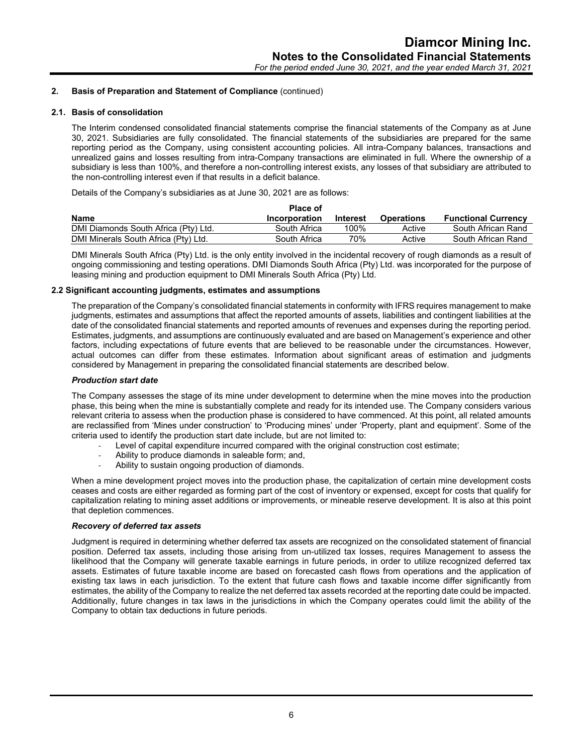#### **2.1. Basis of consolidation**

The Interim condensed consolidated financial statements comprise the financial statements of the Company as at June 30, 2021. Subsidiaries are fully consolidated. The financial statements of the subsidiaries are prepared for the same reporting period as the Company, using consistent accounting policies. All intra-Company balances, transactions and unrealized gains and losses resulting from intra-Company transactions are eliminated in full. Where the ownership of a subsidiary is less than 100%, and therefore a non-controlling interest exists, any losses of that subsidiary are attributed to the non-controlling interest even if that results in a deficit balance.

Details of the Company's subsidiaries as at June 30, 2021 are as follows:

|                                      | <b>Place of</b> |          |                   |                            |
|--------------------------------------|-----------------|----------|-------------------|----------------------------|
| <b>Name</b>                          | Incorporation   | Interest | <b>Operations</b> | <b>Functional Currency</b> |
| DMI Diamonds South Africa (Pty) Ltd. | South Africa    | 100%     | Active            | South African Rand         |
| DMI Minerals South Africa (Pty) Ltd. | South Africa    | 70%      | Active            | South African Rand         |

DMI Minerals South Africa (Pty) Ltd. is the only entity involved in the incidental recovery of rough diamonds as a result of ongoing commissioning and testing operations. DMI Diamonds South Africa (Pty) Ltd. was incorporated for the purpose of leasing mining and production equipment to DMI Minerals South Africa (Pty) Ltd.

#### **2.2 Significant accounting judgments, estimates and assumptions**

The preparation of the Company's consolidated financial statements in conformity with IFRS requires management to make judgments, estimates and assumptions that affect the reported amounts of assets, liabilities and contingent liabilities at the date of the consolidated financial statements and reported amounts of revenues and expenses during the reporting period. Estimates, judgments, and assumptions are continuously evaluated and are based on Management's experience and other factors, including expectations of future events that are believed to be reasonable under the circumstances. However, actual outcomes can differ from these estimates. Information about significant areas of estimation and judgments considered by Management in preparing the consolidated financial statements are described below.

#### *Production start date*

The Company assesses the stage of its mine under development to determine when the mine moves into the production phase, this being when the mine is substantially complete and ready for its intended use. The Company considers various relevant criteria to assess when the production phase is considered to have commenced. At this point, all related amounts are reclassified from 'Mines under construction' to 'Producing mines' under 'Property, plant and equipment'. Some of the criteria used to identify the production start date include, but are not limited to:

- Level of capital expenditure incurred compared with the original construction cost estimate;
- Ability to produce diamonds in saleable form; and,
- Ability to sustain ongoing production of diamonds.

When a mine development project moves into the production phase, the capitalization of certain mine development costs ceases and costs are either regarded as forming part of the cost of inventory or expensed, except for costs that qualify for capitalization relating to mining asset additions or improvements, or mineable reserve development. It is also at this point that depletion commences.

## *Recovery of deferred tax assets*

Judgment is required in determining whether deferred tax assets are recognized on the consolidated statement of financial position. Deferred tax assets, including those arising from un-utilized tax losses, requires Management to assess the likelihood that the Company will generate taxable earnings in future periods, in order to utilize recognized deferred tax assets. Estimates of future taxable income are based on forecasted cash flows from operations and the application of existing tax laws in each jurisdiction. To the extent that future cash flows and taxable income differ significantly from estimates, the ability of the Company to realize the net deferred tax assets recorded at the reporting date could be impacted. Additionally, future changes in tax laws in the jurisdictions in which the Company operates could limit the ability of the Company to obtain tax deductions in future periods.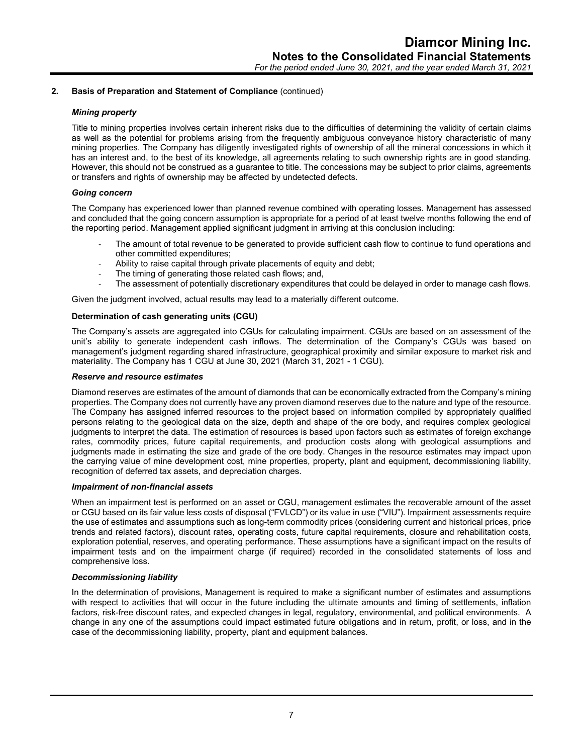#### *Mining property*

Title to mining properties involves certain inherent risks due to the difficulties of determining the validity of certain claims as well as the potential for problems arising from the frequently ambiguous conveyance history characteristic of many mining properties. The Company has diligently investigated rights of ownership of all the mineral concessions in which it has an interest and, to the best of its knowledge, all agreements relating to such ownership rights are in good standing. However, this should not be construed as a guarantee to title. The concessions may be subject to prior claims, agreements or transfers and rights of ownership may be affected by undetected defects.

#### *Going concern*

The Company has experienced lower than planned revenue combined with operating losses. Management has assessed and concluded that the going concern assumption is appropriate for a period of at least twelve months following the end of the reporting period. Management applied significant judgment in arriving at this conclusion including:

- The amount of total revenue to be generated to provide sufficient cash flow to continue to fund operations and other committed expenditures;
- Ability to raise capital through private placements of equity and debt;
- The timing of generating those related cash flows; and,
- The assessment of potentially discretionary expenditures that could be delayed in order to manage cash flows.

Given the judgment involved, actual results may lead to a materially different outcome.

#### **Determination of cash generating units (CGU)**

The Company's assets are aggregated into CGUs for calculating impairment. CGUs are based on an assessment of the unit's ability to generate independent cash inflows. The determination of the Company's CGUs was based on management's judgment regarding shared infrastructure, geographical proximity and similar exposure to market risk and materiality. The Company has 1 CGU at June 30, 2021 (March 31, 2021 - 1 CGU).

#### *Reserve and resource estimates*

Diamond reserves are estimates of the amount of diamonds that can be economically extracted from the Company's mining properties. The Company does not currently have any proven diamond reserves due to the nature and type of the resource. The Company has assigned inferred resources to the project based on information compiled by appropriately qualified persons relating to the geological data on the size, depth and shape of the ore body, and requires complex geological judgments to interpret the data. The estimation of resources is based upon factors such as estimates of foreign exchange rates, commodity prices, future capital requirements, and production costs along with geological assumptions and judgments made in estimating the size and grade of the ore body. Changes in the resource estimates may impact upon the carrying value of mine development cost, mine properties, property, plant and equipment, decommissioning liability, recognition of deferred tax assets, and depreciation charges.

#### *Impairment of non-financial assets*

When an impairment test is performed on an asset or CGU, management estimates the recoverable amount of the asset or CGU based on its fair value less costs of disposal ("FVLCD") or its value in use ("VIU"). Impairment assessments require the use of estimates and assumptions such as long-term commodity prices (considering current and historical prices, price trends and related factors), discount rates, operating costs, future capital requirements, closure and rehabilitation costs, exploration potential, reserves, and operating performance. These assumptions have a significant impact on the results of impairment tests and on the impairment charge (if required) recorded in the consolidated statements of loss and comprehensive loss.

#### *Decommissioning liability*

In the determination of provisions, Management is required to make a significant number of estimates and assumptions with respect to activities that will occur in the future including the ultimate amounts and timing of settlements, inflation factors, risk-free discount rates, and expected changes in legal, regulatory, environmental, and political environments. A change in any one of the assumptions could impact estimated future obligations and in return, profit, or loss, and in the case of the decommissioning liability, property, plant and equipment balances.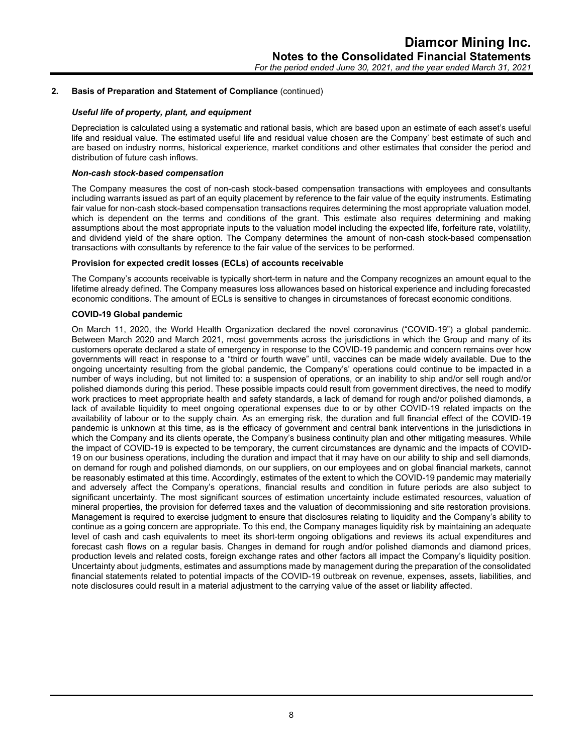#### *Useful life of property, plant, and equipment*

Depreciation is calculated using a systematic and rational basis, which are based upon an estimate of each asset's useful life and residual value. The estimated useful life and residual value chosen are the Company' best estimate of such and are based on industry norms, historical experience, market conditions and other estimates that consider the period and distribution of future cash inflows.

#### *Non-cash stock-based compensation*

The Company measures the cost of non-cash stock-based compensation transactions with employees and consultants including warrants issued as part of an equity placement by reference to the fair value of the equity instruments. Estimating fair value for non-cash stock-based compensation transactions requires determining the most appropriate valuation model, which is dependent on the terms and conditions of the grant. This estimate also requires determining and making assumptions about the most appropriate inputs to the valuation model including the expected life, forfeiture rate, volatility, and dividend yield of the share option. The Company determines the amount of non-cash stock-based compensation transactions with consultants by reference to the fair value of the services to be performed.

#### **Provision for expected credit losses (ECLs) of accounts receivable**

The Company's accounts receivable is typically short-term in nature and the Company recognizes an amount equal to the lifetime already defined. The Company measures loss allowances based on historical experience and including forecasted economic conditions. The amount of ECLs is sensitive to changes in circumstances of forecast economic conditions.

## **COVID-19 Global pandemic**

On March 11, 2020, the World Health Organization declared the novel coronavirus ("COVID-19") a global pandemic. Between March 2020 and March 2021, most governments across the jurisdictions in which the Group and many of its customers operate declared a state of emergency in response to the COVID-19 pandemic and concern remains over how governments will react in response to a "third or fourth wave" until, vaccines can be made widely available. Due to the ongoing uncertainty resulting from the global pandemic, the Company's' operations could continue to be impacted in a number of ways including, but not limited to: a suspension of operations, or an inability to ship and/or sell rough and/or polished diamonds during this period. These possible impacts could result from government directives, the need to modify work practices to meet appropriate health and safety standards, a lack of demand for rough and/or polished diamonds, a lack of available liquidity to meet ongoing operational expenses due to or by other COVID-19 related impacts on the availability of labour or to the supply chain. As an emerging risk, the duration and full financial effect of the COVID-19 pandemic is unknown at this time, as is the efficacy of government and central bank interventions in the jurisdictions in which the Company and its clients operate, the Company's business continuity plan and other mitigating measures. While the impact of COVID-19 is expected to be temporary, the current circumstances are dynamic and the impacts of COVID-19 on our business operations, including the duration and impact that it may have on our ability to ship and sell diamonds, on demand for rough and polished diamonds, on our suppliers, on our employees and on global financial markets, cannot be reasonably estimated at this time. Accordingly, estimates of the extent to which the COVID-19 pandemic may materially and adversely affect the Company's operations, financial results and condition in future periods are also subject to significant uncertainty. The most significant sources of estimation uncertainty include estimated resources, valuation of mineral properties, the provision for deferred taxes and the valuation of decommissioning and site restoration provisions. Management is required to exercise judgment to ensure that disclosures relating to liquidity and the Company's ability to continue as a going concern are appropriate. To this end, the Company manages liquidity risk by maintaining an adequate level of cash and cash equivalents to meet its short-term ongoing obligations and reviews its actual expenditures and forecast cash flows on a regular basis. Changes in demand for rough and/or polished diamonds and diamond prices, production levels and related costs, foreign exchange rates and other factors all impact the Company's liquidity position. Uncertainty about judgments, estimates and assumptions made by management during the preparation of the consolidated financial statements related to potential impacts of the COVID-19 outbreak on revenue, expenses, assets, liabilities, and note disclosures could result in a material adjustment to the carrying value of the asset or liability affected.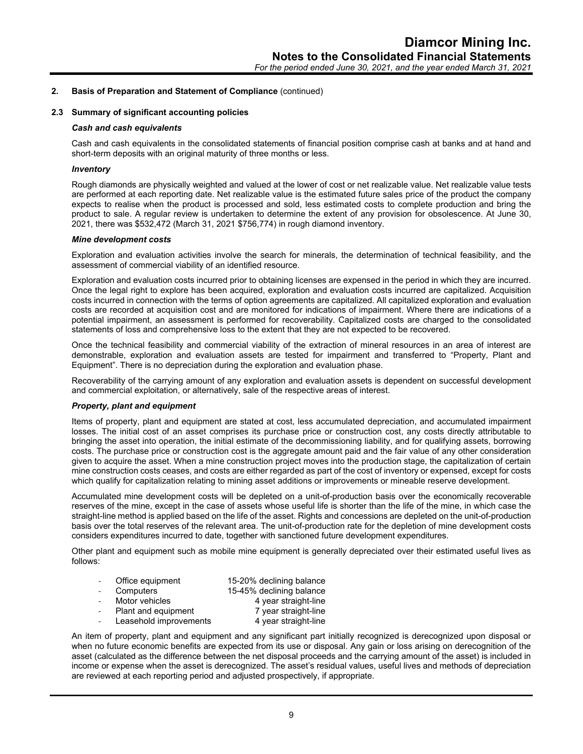#### **2.3 Summary of significant accounting policies**

#### *Cash and cash equivalents*

Cash and cash equivalents in the consolidated statements of financial position comprise cash at banks and at hand and short-term deposits with an original maturity of three months or less.

#### *Inventory*

Rough diamonds are physically weighted and valued at the lower of cost or net realizable value. Net realizable value tests are performed at each reporting date. Net realizable value is the estimated future sales price of the product the company expects to realise when the product is processed and sold, less estimated costs to complete production and bring the product to sale. A regular review is undertaken to determine the extent of any provision for obsolescence. At June 30, 2021, there was \$532,472 (March 31, 2021 \$756,774) in rough diamond inventory.

#### *Mine development costs*

Exploration and evaluation activities involve the search for minerals, the determination of technical feasibility, and the assessment of commercial viability of an identified resource.

Exploration and evaluation costs incurred prior to obtaining licenses are expensed in the period in which they are incurred. Once the legal right to explore has been acquired, exploration and evaluation costs incurred are capitalized. Acquisition costs incurred in connection with the terms of option agreements are capitalized. All capitalized exploration and evaluation costs are recorded at acquisition cost and are monitored for indications of impairment. Where there are indications of a potential impairment, an assessment is performed for recoverability. Capitalized costs are charged to the consolidated statements of loss and comprehensive loss to the extent that they are not expected to be recovered.

Once the technical feasibility and commercial viability of the extraction of mineral resources in an area of interest are demonstrable, exploration and evaluation assets are tested for impairment and transferred to "Property, Plant and Equipment". There is no depreciation during the exploration and evaluation phase.

Recoverability of the carrying amount of any exploration and evaluation assets is dependent on successful development and commercial exploitation, or alternatively, sale of the respective areas of interest.

#### *Property, plant and equipment*

Items of property, plant and equipment are stated at cost, less accumulated depreciation, and accumulated impairment losses. The initial cost of an asset comprises its purchase price or construction cost, any costs directly attributable to bringing the asset into operation, the initial estimate of the decommissioning liability, and for qualifying assets, borrowing costs. The purchase price or construction cost is the aggregate amount paid and the fair value of any other consideration given to acquire the asset. When a mine construction project moves into the production stage, the capitalization of certain mine construction costs ceases, and costs are either regarded as part of the cost of inventory or expensed, except for costs which qualify for capitalization relating to mining asset additions or improvements or mineable reserve development.

Accumulated mine development costs will be depleted on a unit-of-production basis over the economically recoverable reserves of the mine, except in the case of assets whose useful life is shorter than the life of the mine, in which case the straight-line method is applied based on the life of the asset. Rights and concessions are depleted on the unit-of-production basis over the total reserves of the relevant area. The unit-of-production rate for the depletion of mine development costs considers expenditures incurred to date, together with sanctioned future development expenditures.

Other plant and equipment such as mobile mine equipment is generally depreciated over their estimated useful lives as follows:

| $\overline{\phantom{a}}$ | Office equipment | 15-20% declining balance |
|--------------------------|------------------|--------------------------|
| $\sim$                   | Computers        | 15-45% declining balance |

- Motor vehicles 4 year straight-line
- Plant and equipment 7 year straight-line
- Leasehold improvements 4 year straight-line
	-

An item of property, plant and equipment and any significant part initially recognized is derecognized upon disposal or when no future economic benefits are expected from its use or disposal. Any gain or loss arising on derecognition of the asset (calculated as the difference between the net disposal proceeds and the carrying amount of the asset) is included in income or expense when the asset is derecognized. The asset's residual values, useful lives and methods of depreciation are reviewed at each reporting period and adjusted prospectively, if appropriate.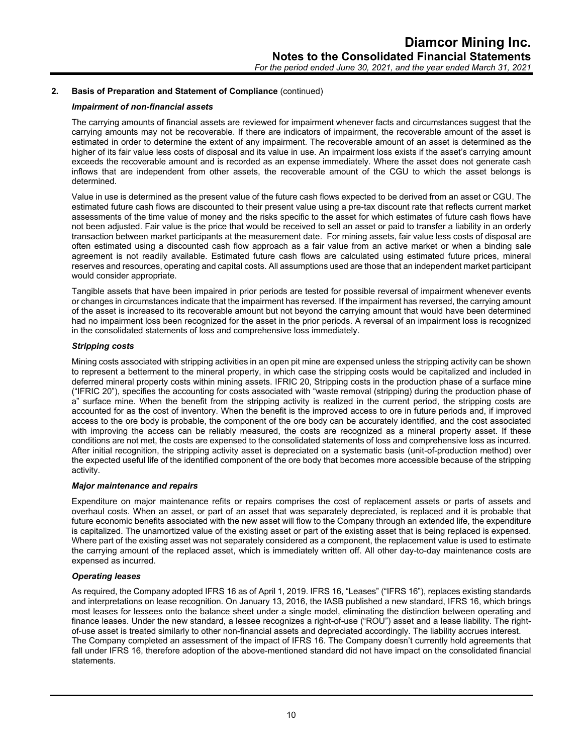#### *Impairment of non-financial assets*

The carrying amounts of financial assets are reviewed for impairment whenever facts and circumstances suggest that the carrying amounts may not be recoverable. If there are indicators of impairment, the recoverable amount of the asset is estimated in order to determine the extent of any impairment. The recoverable amount of an asset is determined as the higher of its fair value less costs of disposal and its value in use. An impairment loss exists if the asset's carrying amount exceeds the recoverable amount and is recorded as an expense immediately. Where the asset does not generate cash inflows that are independent from other assets, the recoverable amount of the CGU to which the asset belongs is determined.

Value in use is determined as the present value of the future cash flows expected to be derived from an asset or CGU. The estimated future cash flows are discounted to their present value using a pre-tax discount rate that reflects current market assessments of the time value of money and the risks specific to the asset for which estimates of future cash flows have not been adjusted. Fair value is the price that would be received to sell an asset or paid to transfer a liability in an orderly transaction between market participants at the measurement date. For mining assets, fair value less costs of disposal are often estimated using a discounted cash flow approach as a fair value from an active market or when a binding sale agreement is not readily available. Estimated future cash flows are calculated using estimated future prices, mineral reserves and resources, operating and capital costs. All assumptions used are those that an independent market participant would consider appropriate.

Tangible assets that have been impaired in prior periods are tested for possible reversal of impairment whenever events or changes in circumstances indicate that the impairment has reversed. If the impairment has reversed, the carrying amount of the asset is increased to its recoverable amount but not beyond the carrying amount that would have been determined had no impairment loss been recognized for the asset in the prior periods. A reversal of an impairment loss is recognized in the consolidated statements of loss and comprehensive loss immediately.

#### *Stripping costs*

Mining costs associated with stripping activities in an open pit mine are expensed unless the stripping activity can be shown to represent a betterment to the mineral property, in which case the stripping costs would be capitalized and included in deferred mineral property costs within mining assets. IFRIC 20, Stripping costs in the production phase of a surface mine ("IFRIC 20"), specifies the accounting for costs associated with "waste removal (stripping) during the production phase of a" surface mine. When the benefit from the stripping activity is realized in the current period, the stripping costs are accounted for as the cost of inventory. When the benefit is the improved access to ore in future periods and, if improved access to the ore body is probable, the component of the ore body can be accurately identified, and the cost associated with improving the access can be reliably measured, the costs are recognized as a mineral property asset. If these conditions are not met, the costs are expensed to the consolidated statements of loss and comprehensive loss as incurred. After initial recognition, the stripping activity asset is depreciated on a systematic basis (unit-of-production method) over the expected useful life of the identified component of the ore body that becomes more accessible because of the stripping activity.

## *Major maintenance and repairs*

Expenditure on major maintenance refits or repairs comprises the cost of replacement assets or parts of assets and overhaul costs. When an asset, or part of an asset that was separately depreciated, is replaced and it is probable that future economic benefits associated with the new asset will flow to the Company through an extended life, the expenditure is capitalized. The unamortized value of the existing asset or part of the existing asset that is being replaced is expensed. Where part of the existing asset was not separately considered as a component, the replacement value is used to estimate the carrying amount of the replaced asset, which is immediately written off. All other day-to-day maintenance costs are expensed as incurred.

#### *Operating leases*

As required, the Company adopted IFRS 16 as of April 1, 2019. IFRS 16, "Leases" ("IFRS 16"), replaces existing standards and interpretations on lease recognition. On January 13, 2016, the IASB published a new standard, IFRS 16, which brings most leases for lessees onto the balance sheet under a single model, eliminating the distinction between operating and finance leases. Under the new standard, a lessee recognizes a right-of-use ("ROU") asset and a lease liability. The rightof-use asset is treated similarly to other non-financial assets and depreciated accordingly. The liability accrues interest. The Company completed an assessment of the impact of IFRS 16. The Company doesn't currently hold agreements that fall under IFRS 16, therefore adoption of the above-mentioned standard did not have impact on the consolidated financial statements.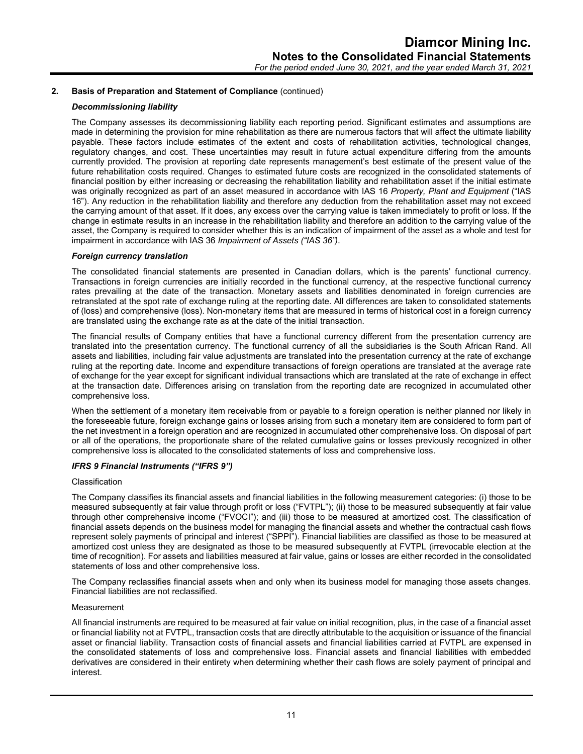## *Decommissioning liability*

The Company assesses its decommissioning liability each reporting period. Significant estimates and assumptions are made in determining the provision for mine rehabilitation as there are numerous factors that will affect the ultimate liability payable. These factors include estimates of the extent and costs of rehabilitation activities, technological changes, regulatory changes, and cost. These uncertainties may result in future actual expenditure differing from the amounts currently provided. The provision at reporting date represents management's best estimate of the present value of the future rehabilitation costs required. Changes to estimated future costs are recognized in the consolidated statements of financial position by either increasing or decreasing the rehabilitation liability and rehabilitation asset if the initial estimate was originally recognized as part of an asset measured in accordance with IAS 16 *Property, Plant and Equipment* ("IAS 16"). Any reduction in the rehabilitation liability and therefore any deduction from the rehabilitation asset may not exceed the carrying amount of that asset. If it does, any excess over the carrying value is taken immediately to profit or loss. If the change in estimate results in an increase in the rehabilitation liability and therefore an addition to the carrying value of the asset, the Company is required to consider whether this is an indication of impairment of the asset as a whole and test for impairment in accordance with IAS 36 *Impairment of Assets ("IAS 36")*.

#### *Foreign currency translation*

The consolidated financial statements are presented in Canadian dollars, which is the parents' functional currency. Transactions in foreign currencies are initially recorded in the functional currency, at the respective functional currency rates prevailing at the date of the transaction. Monetary assets and liabilities denominated in foreign currencies are retranslated at the spot rate of exchange ruling at the reporting date. All differences are taken to consolidated statements of (loss) and comprehensive (loss). Non-monetary items that are measured in terms of historical cost in a foreign currency are translated using the exchange rate as at the date of the initial transaction.

The financial results of Company entities that have a functional currency different from the presentation currency are translated into the presentation currency. The functional currency of all the subsidiaries is the South African Rand. All assets and liabilities, including fair value adjustments are translated into the presentation currency at the rate of exchange ruling at the reporting date. Income and expenditure transactions of foreign operations are translated at the average rate of exchange for the year except for significant individual transactions which are translated at the rate of exchange in effect at the transaction date. Differences arising on translation from the reporting date are recognized in accumulated other comprehensive loss.

When the settlement of a monetary item receivable from or payable to a foreign operation is neither planned nor likely in the foreseeable future, foreign exchange gains or losses arising from such a monetary item are considered to form part of the net investment in a foreign operation and are recognized in accumulated other comprehensive loss. On disposal of part or all of the operations, the proportionate share of the related cumulative gains or losses previously recognized in other comprehensive loss is allocated to the consolidated statements of loss and comprehensive loss.

#### *IFRS 9 Financial Instruments ("IFRS 9")*

#### Classification

The Company classifies its financial assets and financial liabilities in the following measurement categories: (i) those to be measured subsequently at fair value through profit or loss ("FVTPL"); (ii) those to be measured subsequently at fair value through other comprehensive income ("FVOCI"); and (iii) those to be measured at amortized cost. The classification of financial assets depends on the business model for managing the financial assets and whether the contractual cash flows represent solely payments of principal and interest ("SPPI"). Financial liabilities are classified as those to be measured at amortized cost unless they are designated as those to be measured subsequently at FVTPL (irrevocable election at the time of recognition). For assets and liabilities measured at fair value, gains or losses are either recorded in the consolidated statements of loss and other comprehensive loss.

The Company reclassifies financial assets when and only when its business model for managing those assets changes. Financial liabilities are not reclassified.

#### Measurement

All financial instruments are required to be measured at fair value on initial recognition, plus, in the case of a financial asset or financial liability not at FVTPL, transaction costs that are directly attributable to the acquisition or issuance of the financial asset or financial liability. Transaction costs of financial assets and financial liabilities carried at FVTPL are expensed in the consolidated statements of loss and comprehensive loss. Financial assets and financial liabilities with embedded derivatives are considered in their entirety when determining whether their cash flows are solely payment of principal and interest.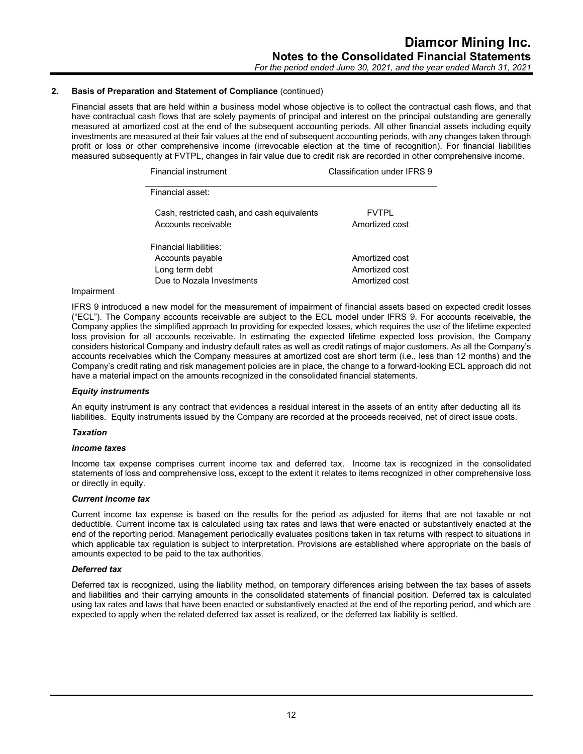*For the period ended June 30, 2021, and the year ended March 31, 2021*

## **2. Basis of Preparation and Statement of Compliance** (continued)

Financial assets that are held within a business model whose objective is to collect the contractual cash flows, and that have contractual cash flows that are solely payments of principal and interest on the principal outstanding are generally measured at amortized cost at the end of the subsequent accounting periods. All other financial assets including equity investments are measured at their fair values at the end of subsequent accounting periods, with any changes taken through profit or loss or other comprehensive income (irrevocable election at the time of recognition). For financial liabilities measured subsequently at FVTPL, changes in fair value due to credit risk are recorded in other comprehensive income.

| Financial instrument                                               | Classification under IFRS 9    |
|--------------------------------------------------------------------|--------------------------------|
| Financial asset:                                                   |                                |
| Cash, restricted cash, and cash equivalents<br>Accounts receivable | <b>FVTPL</b><br>Amortized cost |
| Financial liabilities:                                             |                                |
| Accounts payable                                                   | Amortized cost                 |
| Long term debt                                                     | Amortized cost                 |
| Due to Nozala Investments                                          | Amortized cost                 |

#### Impairment

IFRS 9 introduced a new model for the measurement of impairment of financial assets based on expected credit losses ("ECL"). The Company accounts receivable are subject to the ECL model under IFRS 9. For accounts receivable, the Company applies the simplified approach to providing for expected losses, which requires the use of the lifetime expected loss provision for all accounts receivable. In estimating the expected lifetime expected loss provision, the Company considers historical Company and industry default rates as well as credit ratings of major customers. As all the Company's accounts receivables which the Company measures at amortized cost are short term (i.e., less than 12 months) and the Company's credit rating and risk management policies are in place, the change to a forward-looking ECL approach did not have a material impact on the amounts recognized in the consolidated financial statements.

#### *Equity instruments*

An equity instrument is any contract that evidences a residual interest in the assets of an entity after deducting all its liabilities. Equity instruments issued by the Company are recorded at the proceeds received, net of direct issue costs.

#### *Taxation*

#### *Income taxes*

Income tax expense comprises current income tax and deferred tax. Income tax is recognized in the consolidated statements of loss and comprehensive loss, except to the extent it relates to items recognized in other comprehensive loss or directly in equity.

#### *Current income tax*

Current income tax expense is based on the results for the period as adjusted for items that are not taxable or not deductible. Current income tax is calculated using tax rates and laws that were enacted or substantively enacted at the end of the reporting period. Management periodically evaluates positions taken in tax returns with respect to situations in which applicable tax regulation is subject to interpretation. Provisions are established where appropriate on the basis of amounts expected to be paid to the tax authorities.

## *Deferred tax*

Deferred tax is recognized, using the liability method, on temporary differences arising between the tax bases of assets and liabilities and their carrying amounts in the consolidated statements of financial position. Deferred tax is calculated using tax rates and laws that have been enacted or substantively enacted at the end of the reporting period, and which are expected to apply when the related deferred tax asset is realized, or the deferred tax liability is settled.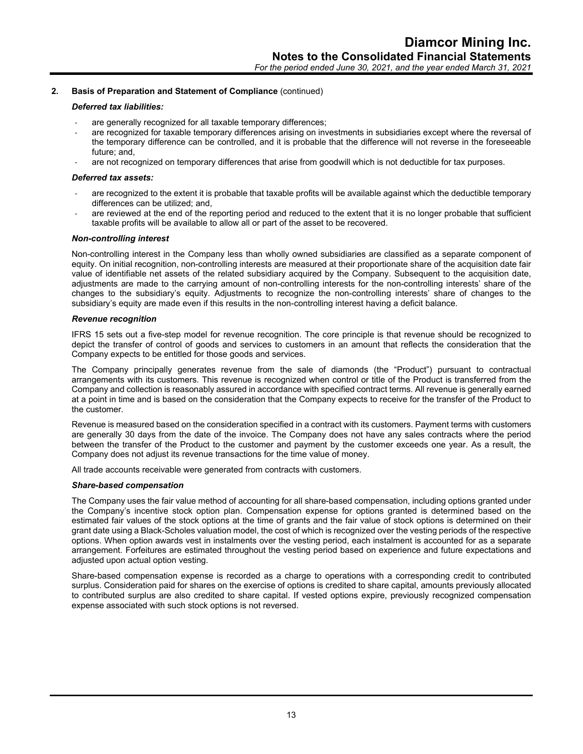#### *Deferred tax liabilities:*

- are generally recognized for all taxable temporary differences;
- are recognized for taxable temporary differences arising on investments in subsidiaries except where the reversal of the temporary difference can be controlled, and it is probable that the difference will not reverse in the foreseeable future; and,
- are not recognized on temporary differences that arise from goodwill which is not deductible for tax purposes.

## *Deferred tax assets:*

- are recognized to the extent it is probable that taxable profits will be available against which the deductible temporary differences can be utilized; and,
- are reviewed at the end of the reporting period and reduced to the extent that it is no longer probable that sufficient taxable profits will be available to allow all or part of the asset to be recovered.

## *Non-controlling interest*

Non-controlling interest in the Company less than wholly owned subsidiaries are classified as a separate component of equity. On initial recognition, non-controlling interests are measured at their proportionate share of the acquisition date fair value of identifiable net assets of the related subsidiary acquired by the Company. Subsequent to the acquisition date, adjustments are made to the carrying amount of non-controlling interests for the non-controlling interests' share of the changes to the subsidiary's equity. Adjustments to recognize the non-controlling interests' share of changes to the subsidiary's equity are made even if this results in the non-controlling interest having a deficit balance.

#### *Revenue recognition*

IFRS 15 sets out a five-step model for revenue recognition. The core principle is that revenue should be recognized to depict the transfer of control of goods and services to customers in an amount that reflects the consideration that the Company expects to be entitled for those goods and services.

The Company principally generates revenue from the sale of diamonds (the "Product") pursuant to contractual arrangements with its customers. This revenue is recognized when control or title of the Product is transferred from the Company and collection is reasonably assured in accordance with specified contract terms. All revenue is generally earned at a point in time and is based on the consideration that the Company expects to receive for the transfer of the Product to the customer.

Revenue is measured based on the consideration specified in a contract with its customers. Payment terms with customers are generally 30 days from the date of the invoice. The Company does not have any sales contracts where the period between the transfer of the Product to the customer and payment by the customer exceeds one year. As a result, the Company does not adjust its revenue transactions for the time value of money.

All trade accounts receivable were generated from contracts with customers.

#### *Share-based compensation*

The Company uses the fair value method of accounting for all share-based compensation, including options granted under the Company's incentive stock option plan. Compensation expense for options granted is determined based on the estimated fair values of the stock options at the time of grants and the fair value of stock options is determined on their grant date using a Black-Scholes valuation model, the cost of which is recognized over the vesting periods of the respective options. When option awards vest in instalments over the vesting period, each instalment is accounted for as a separate arrangement. Forfeitures are estimated throughout the vesting period based on experience and future expectations and adjusted upon actual option vesting.

Share-based compensation expense is recorded as a charge to operations with a corresponding credit to contributed surplus. Consideration paid for shares on the exercise of options is credited to share capital, amounts previously allocated to contributed surplus are also credited to share capital. If vested options expire, previously recognized compensation expense associated with such stock options is not reversed.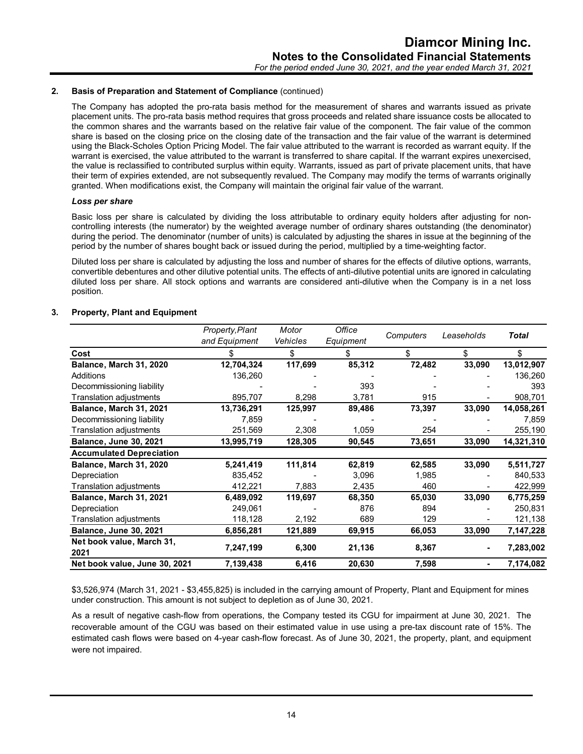The Company has adopted the pro-rata basis method for the measurement of shares and warrants issued as private placement units. The pro-rata basis method requires that gross proceeds and related share issuance costs be allocated to the common shares and the warrants based on the relative fair value of the component. The fair value of the common share is based on the closing price on the closing date of the transaction and the fair value of the warrant is determined using the Black-Scholes Option Pricing Model. The fair value attributed to the warrant is recorded as warrant equity. If the warrant is exercised, the value attributed to the warrant is transferred to share capital. If the warrant expires unexercised, the value is reclassified to contributed surplus within equity. Warrants, issued as part of private placement units, that have their term of expiries extended, are not subsequently revalued. The Company may modify the terms of warrants originally granted. When modifications exist, the Company will maintain the original fair value of the warrant.

#### *Loss per share*

Basic loss per share is calculated by dividing the loss attributable to ordinary equity holders after adjusting for noncontrolling interests (the numerator) by the weighted average number of ordinary shares outstanding (the denominator) during the period. The denominator (number of units) is calculated by adjusting the shares in issue at the beginning of the period by the number of shares bought back or issued during the period, multiplied by a time-weighting factor.

Diluted loss per share is calculated by adjusting the loss and number of shares for the effects of dilutive options, warrants, convertible debentures and other dilutive potential units. The effects of anti-dilutive potential units are ignored in calculating diluted loss per share. All stock options and warrants are considered anti-dilutive when the Company is in a net loss position.

|                                   | Property, Plant<br>and Equipment | Motor<br>Vehicles | Office<br>Equipment | Computers | Leaseholds | Total      |
|-----------------------------------|----------------------------------|-------------------|---------------------|-----------|------------|------------|
| Cost                              |                                  | \$                | \$                  | \$        | \$         | \$         |
| Balance, March 31, 2020           | 12,704,324                       | 117,699           | 85,312              | 72,482    | 33,090     | 13,012,907 |
| Additions                         | 136,260                          |                   |                     |           |            | 136,260    |
| Decommissioning liability         |                                  |                   | 393                 |           |            | 393        |
| Translation adjustments           | 895,707                          | 8,298             | 3,781               | 915       |            | 908,701    |
| Balance, March 31, 2021           | 13,736,291                       | 125,997           | 89,486              | 73,397    | 33,090     | 14,058,261 |
| Decommissioning liability         | 7,859                            |                   |                     |           |            | 7,859      |
| Translation adjustments           | 251,569                          | 2,308             | 1,059               | 254       |            | 255,190    |
| <b>Balance, June 30, 2021</b>     | 13,995,719                       | 128,305           | 90,545              | 73,651    | 33,090     | 14,321,310 |
| <b>Accumulated Depreciation</b>   |                                  |                   |                     |           |            |            |
| Balance, March 31, 2020           | 5,241,419                        | 111,814           | 62,819              | 62,585    | 33,090     | 5,511,727  |
| Depreciation                      | 835,452                          |                   | 3,096               | 1,985     |            | 840,533    |
| Translation adjustments           | 412,221                          | 7,883             | 2,435               | 460       |            | 422,999    |
| Balance, March 31, 2021           | 6,489,092                        | 119,697           | 68,350              | 65,030    | 33,090     | 6,775,259  |
| Depreciation                      | 249,061                          |                   | 876                 | 894       |            | 250,831    |
| Translation adjustments           | 118,128                          | 2,192             | 689                 | 129       |            | 121,138    |
| <b>Balance, June 30, 2021</b>     | 6,856,281                        | 121,889           | 69,915              | 66,053    | 33,090     | 7,147,228  |
| Net book value, March 31,<br>2021 | 7,247,199                        | 6,300             | 21,136              | 8,367     |            | 7,283,002  |
| Net book value, June 30, 2021     | 7,139,438                        | 6,416             | 20,630              | 7,598     | ۰.         | 7,174,082  |

#### **3. Property, Plant and Equipment**

\$3,526,974 (March 31, 2021 - \$3,455,825) is included in the carrying amount of Property, Plant and Equipment for mines under construction. This amount is not subject to depletion as of June 30, 2021.

As a result of negative cash-flow from operations, the Company tested its CGU for impairment at June 30, 2021. The recoverable amount of the CGU was based on their estimated value in use using a pre-tax discount rate of 15%. The estimated cash flows were based on 4-year cash-flow forecast. As of June 30, 2021, the property, plant, and equipment were not impaired.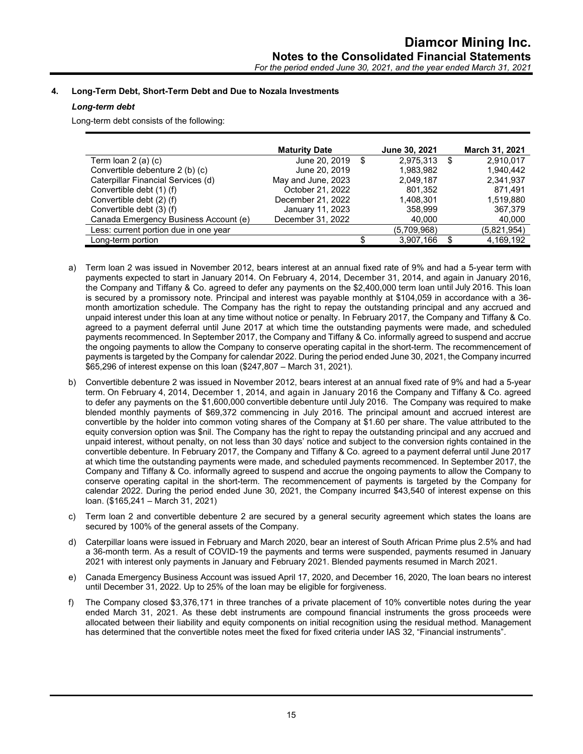## **4. Long-Term Debt, Short-Term Debt and Due to Nozala Investments**

## *Long-term debt*

Long-term debt consists of the following:

|                                       | <b>Maturity Date</b> |     | June 30, 2021 | March 31, 2021  |
|---------------------------------------|----------------------|-----|---------------|-----------------|
| Term loan $2(a)(c)$                   | June 20, 2019        | -\$ | 2,975,313     | \$<br>2.910.017 |
| Convertible debenture 2 (b) (c)       | June 20, 2019        |     | 1,983,982     | 1,940,442       |
| Caterpillar Financial Services (d)    | May and June, 2023   |     | 2.049.187     | 2,341,937       |
| Convertible debt (1) (f)              | October 21, 2022     |     | 801,352       | 871.491         |
| Convertible debt (2) (f)              | December 21, 2022    |     | 1.408.301     | 1,519,880       |
| Convertible debt (3) (f)              | January 11, 2023     |     | 358.999       | 367,379         |
| Canada Emergency Business Account (e) | December 31, 2022    |     | 40.000        | 40,000          |
| Less: current portion due in one year |                      |     | (5,709,968)   | (5,821,954)     |
| Long-term portion                     |                      |     | 3,907,166     | 4,169,192       |

- a) Term loan 2 was issued in November 2012, bears interest at an annual fixed rate of 9% and had a 5-year term with payments expected to start in January 2014. On February 4, 2014, December 31, 2014, and again in January 2016, the Company and Tiffany & Co. agreed to defer any payments on the \$2,400,000 term loan until July 2016. This loan is secured by a promissory note. Principal and interest was payable monthly at \$104,059 in accordance with a 36 month amortization schedule. The Company has the right to repay the outstanding principal and any accrued and unpaid interest under this loan at any time without notice or penalty. In February 2017, the Company and Tiffany & Co. agreed to a payment deferral until June 2017 at which time the outstanding payments were made, and scheduled payments recommenced. In September 2017, the Company and Tiffany & Co. informally agreed to suspend and accrue the ongoing payments to allow the Company to conserve operating capital in the short-term. The recommencement of payments is targeted by the Company for calendar 2022. During the period ended June 30, 2021, the Company incurred \$65,296 of interest expense on this loan (\$247,807 – March 31, 2021).
- b) Convertible debenture 2 was issued in November 2012, bears interest at an annual fixed rate of 9% and had a 5-year term. On February 4, 2014, December 1, 2014, and again in January 2016 the Company and Tiffany & Co. agreed to defer any payments on the \$1,600,000 convertible debenture until July 2016. The Company was required to make blended monthly payments of \$69,372 commencing in July 2016. The principal amount and accrued interest are convertible by the holder into common voting shares of the Company at \$1.60 per share. The value attributed to the equity conversion option was \$nil. The Company has the right to repay the outstanding principal and any accrued and unpaid interest, without penalty, on not less than 30 days' notice and subject to the conversion rights contained in the convertible debenture. In February 2017, the Company and Tiffany & Co. agreed to a payment deferral until June 2017 at which time the outstanding payments were made, and scheduled payments recommenced. In September 2017, the Company and Tiffany & Co. informally agreed to suspend and accrue the ongoing payments to allow the Company to conserve operating capital in the short-term. The recommencement of payments is targeted by the Company for calendar 2022. During the period ended June 30, 2021, the Company incurred \$43,540 of interest expense on this loan. (\$165,241 – March 31, 2021)
- c) Term loan 2 and convertible debenture 2 are secured by a general security agreement which states the loans are secured by 100% of the general assets of the Company.
- d) Caterpillar loans were issued in February and March 2020, bear an interest of South African Prime plus 2.5% and had a 36-month term. As a result of COVID-19 the payments and terms were suspended, payments resumed in January 2021 with interest only payments in January and February 2021. Blended payments resumed in March 2021.
- e) Canada Emergency Business Account was issued April 17, 2020, and December 16, 2020, The loan bears no interest until December 31, 2022. Up to 25% of the loan may be eligible for forgiveness.
- f) The Company closed \$3,376,171 in three tranches of a private placement of 10% convertible notes during the year ended March 31, 2021. As these debt instruments are compound financial instruments the gross proceeds were allocated between their liability and equity components on initial recognition using the residual method. Management has determined that the convertible notes meet the fixed for fixed criteria under IAS 32, "Financial instruments".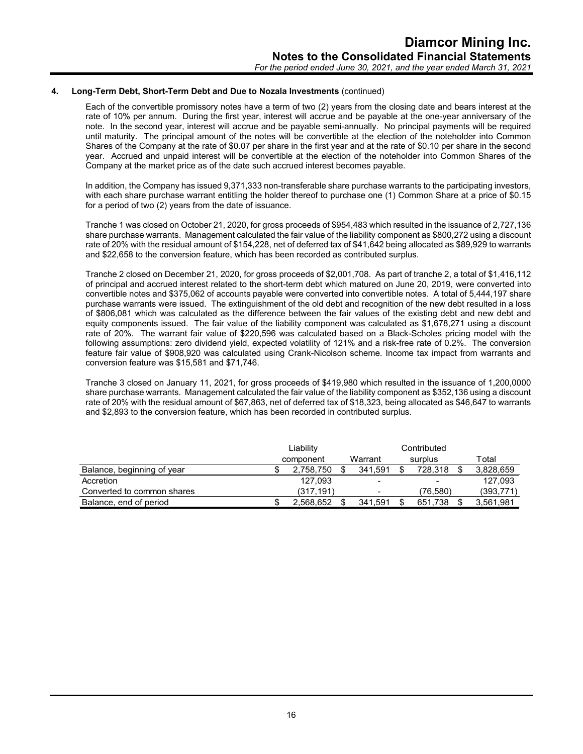## **4. Long-Term Debt, Short-Term Debt and Due to Nozala Investments** (continued)

Each of the convertible promissory notes have a term of two (2) years from the closing date and bears interest at the rate of 10% per annum. During the first year, interest will accrue and be payable at the one-year anniversary of the note. In the second year, interest will accrue and be payable semi-annually. No principal payments will be required until maturity. The principal amount of the notes will be convertible at the election of the noteholder into Common Shares of the Company at the rate of \$0.07 per share in the first year and at the rate of \$0.10 per share in the second year. Accrued and unpaid interest will be convertible at the election of the noteholder into Common Shares of the Company at the market price as of the date such accrued interest becomes payable.

In addition, the Company has issued 9,371,333 non-transferable share purchase warrants to the participating investors, with each share purchase warrant entitling the holder thereof to purchase one (1) Common Share at a price of \$0.15 for a period of two (2) years from the date of issuance.

Tranche 1 was closed on October 21, 2020, for gross proceeds of \$954,483 which resulted in the issuance of 2,727,136 share purchase warrants. Management calculated the fair value of the liability component as \$800,272 using a discount rate of 20% with the residual amount of \$154,228, net of deferred tax of \$41,642 being allocated as \$89,929 to warrants and \$22,658 to the conversion feature, which has been recorded as contributed surplus.

Tranche 2 closed on December 21, 2020, for gross proceeds of \$2,001,708. As part of tranche 2, a total of \$1,416,112 of principal and accrued interest related to the short-term debt which matured on June 20, 2019, were converted into convertible notes and \$375,062 of accounts payable were converted into convertible notes. A total of 5,444,197 share purchase warrants were issued. The extinguishment of the old debt and recognition of the new debt resulted in a loss of \$806,081 which was calculated as the difference between the fair values of the existing debt and new debt and equity components issued. The fair value of the liability component was calculated as \$1,678,271 using a discount rate of 20%. The warrant fair value of \$220,596 was calculated based on a Black-Scholes pricing model with the following assumptions: zero dividend yield, expected volatility of 121% and a risk-free rate of 0.2%. The conversion feature fair value of \$908,920 was calculated using Crank-Nicolson scheme. Income tax impact from warrants and conversion feature was \$15,581 and \$71,746.

Tranche 3 closed on January 11, 2021, for gross proceeds of \$419,980 which resulted in the issuance of 1,200,0000 share purchase warrants. Management calculated the fair value of the liability component as \$352,136 using a discount rate of 20% with the residual amount of \$67,863, net of deferred tax of \$18,323, being allocated as \$46,647 to warrants and \$2,893 to the conversion feature, which has been recorded in contributed surplus.

|                            | Liability |                          | Contributed              |            |
|----------------------------|-----------|--------------------------|--------------------------|------------|
|                            | component | Warrant                  | surplus                  | Total      |
| Balance, beginning of year | 2.758.750 | 341.591                  | 728.318                  | 3,828,659  |
| Accretion                  | 127.093   | $\overline{\phantom{a}}$ | $\overline{\phantom{a}}$ | 127.093    |
| Converted to common shares | (317.191) | $\overline{\phantom{a}}$ | (76.580)                 | (393, 771) |
| Balance, end of period     | 2.568.652 | 341.591                  | 651.738                  | 3,561,981  |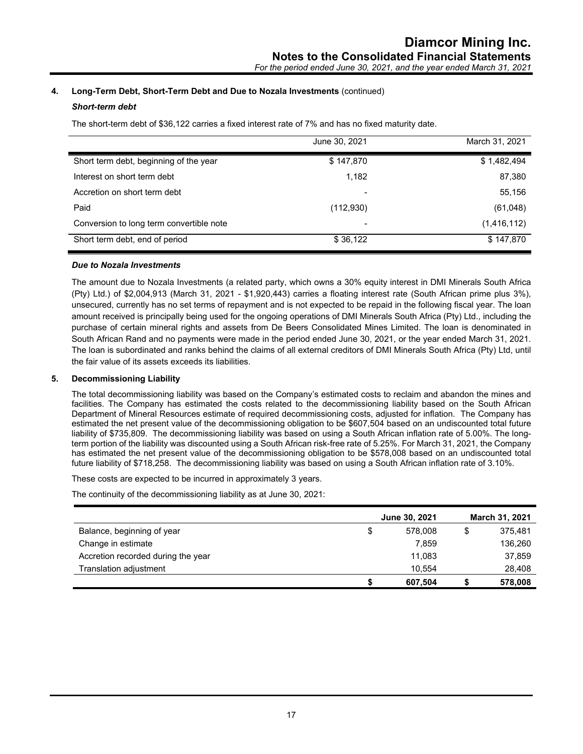## **4. Long-Term Debt, Short-Term Debt and Due to Nozala Investments** (continued)

## *Short-term debt*

The short-term debt of \$36,122 carries a fixed interest rate of 7% and has no fixed maturity date.

|                                          | June 30, 2021 | March 31, 2021 |
|------------------------------------------|---------------|----------------|
| Short term debt, beginning of the year   | \$147,870     | \$1,482,494    |
| Interest on short term debt              | 1,182         | 87,380         |
| Accretion on short term debt             |               | 55,156         |
| Paid                                     | (112,930)     | (61,048)       |
| Conversion to long term convertible note |               | (1,416,112)    |
| Short term debt, end of period           | \$36,122      | \$147,870      |

## *Due to Nozala Investments*

The amount due to Nozala Investments (a related party, which owns a 30% equity interest in DMI Minerals South Africa (Pty) Ltd.) of \$2,004,913 (March 31, 2021 - \$1,920,443) carries a floating interest rate (South African prime plus 3%), unsecured, currently has no set terms of repayment and is not expected to be repaid in the following fiscal year. The loan amount received is principally being used for the ongoing operations of DMI Minerals South Africa (Pty) Ltd., including the purchase of certain mineral rights and assets from De Beers Consolidated Mines Limited. The loan is denominated in South African Rand and no payments were made in the period ended June 30, 2021, or the year ended March 31, 2021. The loan is subordinated and ranks behind the claims of all external creditors of DMI Minerals South Africa (Pty) Ltd, until the fair value of its assets exceeds its liabilities.

## **5. Decommissioning Liability**

The total decommissioning liability was based on the Company's estimated costs to reclaim and abandon the mines and facilities. The Company has estimated the costs related to the decommissioning liability based on the South African Department of Mineral Resources estimate of required decommissioning costs, adjusted for inflation. The Company has estimated the net present value of the decommissioning obligation to be \$607,504 based on an undiscounted total future liability of \$735,809. The decommissioning liability was based on using a South African inflation rate of 5.00%. The longterm portion of the liability was discounted using a South African risk-free rate of 5.25%. For March 31, 2021, the Company has estimated the net present value of the decommissioning obligation to be \$578,008 based on an undiscounted total future liability of \$718,258. The decommissioning liability was based on using a South African inflation rate of 3.10%.

These costs are expected to be incurred in approximately 3 years.

The continuity of the decommissioning liability as at June 30, 2021:

|                                    |   | June 30, 2021 | <b>March 31, 2021</b> |
|------------------------------------|---|---------------|-----------------------|
| Balance, beginning of year         | S | 578,008       | \$<br>375.481         |
| Change in estimate                 |   | 7.859         | 136,260               |
| Accretion recorded during the year |   | 11.083        | 37,859                |
| Translation adjustment             |   | 10.554        | 28,408                |
|                                    |   | 607,504       | 578,008               |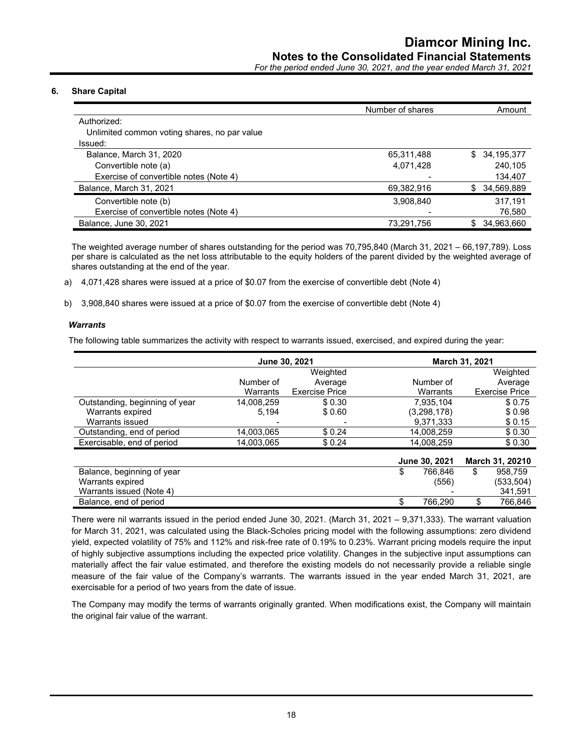*For the period ended June 30, 2021, and the year ended March 31, 2021*

## **6. Share Capital**

|                                              | Number of shares | Amount            |
|----------------------------------------------|------------------|-------------------|
| Authorized:                                  |                  |                   |
| Unlimited common voting shares, no par value |                  |                   |
| Issued:                                      |                  |                   |
| Balance, March 31, 2020                      | 65,311,488       | 34,195,377<br>S.  |
| Convertible note (a)                         | 4,071,428        | 240.105           |
| Exercise of convertible notes (Note 4)       |                  | 134,407           |
| Balance, March 31, 2021                      | 69,382,916       | 34,569,889<br>\$. |
| Convertible note (b)                         | 3,908,840        | 317.191           |
| Exercise of convertible notes (Note 4)       |                  | 76,580            |
| Balance, June 30, 2021                       | 73,291,756       | 34,963,660        |

The weighted average number of shares outstanding for the period was 70,795,840 (March 31, 2021 – 66,197,789). Loss per share is calculated as the net loss attributable to the equity holders of the parent divided by the weighted average of shares outstanding at the end of the year.

a) 4,071,428 shares were issued at a price of \$0.07 from the exercise of convertible debt (Note 4)

b) 3,908,840 shares were issued at a price of \$0.07 from the exercise of convertible debt (Note 4)

#### *Warrants*

The following table summarizes the activity with respect to warrants issued, exercised, and expired during the year:

|                                |            | June 30, 2021         |               | March 31, 2021        |
|--------------------------------|------------|-----------------------|---------------|-----------------------|
|                                |            | Weighted              |               | Weighted              |
|                                | Number of  | Average               | Number of     | Average               |
|                                | Warrants   | <b>Exercise Price</b> | Warrants      | <b>Exercise Price</b> |
| Outstanding, beginning of year | 14.008.259 | \$0.30                | 7.935.104     | \$0.75                |
| Warrants expired               | 5.194      | \$0.60                | (3,298,178)   | \$0.98                |
| Warrants issued                |            |                       | 9,371,333     | \$0.15                |
| Outstanding, end of period     | 14,003,065 | \$0.24                | 14.008.259    | \$0.30                |
| Exercisable, end of period     | 14,003,065 | \$0.24                | 14.008.259    | \$0.30                |
|                                |            |                       | June 30, 2021 | March 31, 20210       |
| Balance, beginning of year     |            |                       | \$<br>766,846 | \$<br>958.759         |
| Warrants expired               |            |                       | (556)         | (533,504)             |
| Warrants issued (Note 4)       |            |                       |               | 341,591               |
| Balance, end of period         |            |                       | 766.290       | 766.846               |

There were nil warrants issued in the period ended June 30, 2021. (March 31, 2021 – 9,371,333). The warrant valuation for March 31, 2021, was calculated using the Black-Scholes pricing model with the following assumptions: zero dividend yield, expected volatility of 75% and 112% and risk-free rate of 0.19% to 0.23%. Warrant pricing models require the input of highly subjective assumptions including the expected price volatility. Changes in the subjective input assumptions can materially affect the fair value estimated, and therefore the existing models do not necessarily provide a reliable single measure of the fair value of the Company's warrants. The warrants issued in the year ended March 31, 2021, are exercisable for a period of two years from the date of issue.

The Company may modify the terms of warrants originally granted. When modifications exist, the Company will maintain the original fair value of the warrant.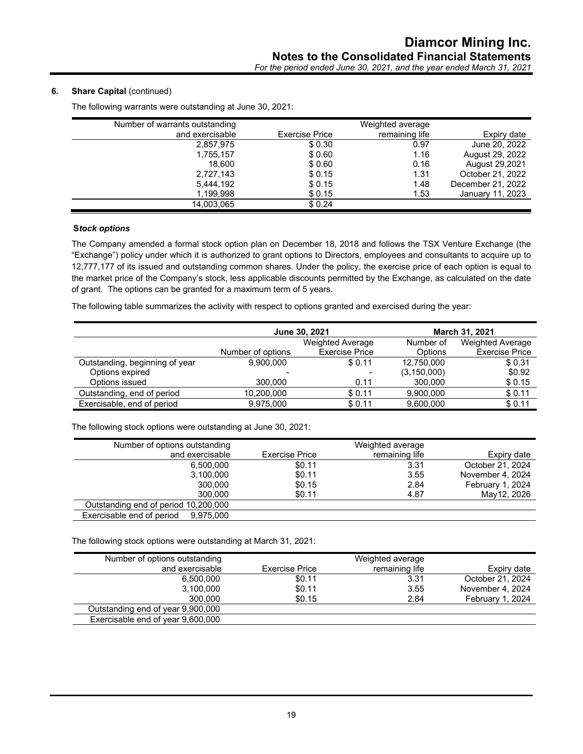## **6.** Share Capital (continued)

|                       | Weighted average |                   |
|-----------------------|------------------|-------------------|
| <b>Exercise Price</b> | remaining life   | Expiry date       |
| \$0.30                | 0.97             | June 20, 2022     |
| \$0.60                | 1.16             | August 29, 2022   |
| \$0.60                | 0.16             | August 29,2021    |
| \$ 0.15               | 1.31             | October 21, 2022  |
| \$0.15                | 1.48             | December 21, 2022 |
| \$0.15                | 1.53             | January 11, 2023  |
| \$0.24                |                  |                   |
|                       |                  |                   |

The following warrants were outstanding at June 30, 2021:

#### **S***tock options*

The Company amended a formal stock option plan on December 18, 2018 and follows the TSX Venture Exchange (the "Exchange") policy under which it is authorized to grant options to Directors, employees and consultants to acquire up to 12,777,177 of its issued and outstanding common shares. Under the policy, the exercise price of each option is equal to the market price of the Company's stock, less applicable discounts permitted by the Exchange, as calculated on the date of grant. The options can be granted for a maximum term of 5 years.

The following table summarizes the activity with respect to options granted and exercised during the year:

|                                | June 30, 2021           |                       |               | <b>March 31, 2021</b>   |
|--------------------------------|-------------------------|-----------------------|---------------|-------------------------|
|                                | <b>Weighted Average</b> |                       | Number of     | <b>Weighted Average</b> |
|                                | Number of options       | <b>Exercise Price</b> | Options       | <b>Exercise Price</b>   |
| Outstanding, beginning of year | 9.900.000               | \$0.11                | 12,750,000    | \$0.31                  |
| Options expired                |                         |                       | (3, 150, 000) | \$0.92                  |
| Options issued                 | 300,000                 | 0.11                  | 300,000       | \$0.15                  |
| Outstanding, end of period     | 10,200,000              | \$0.11                | 9.900.000     | \$0.11                  |
| Exercisable, end of period     | 9.975.000               | \$0.11                | 9.600.000     | \$0.11                  |

The following stock options were outstanding at June 30, 2021:

| Number of options outstanding        |                | Weighted average |                  |
|--------------------------------------|----------------|------------------|------------------|
| and exercisable                      | Exercise Price | remaining life   | Expiry date      |
| 6.500.000                            | \$0.11         | 3.31             | October 21, 2024 |
| 3.100.000                            | \$0.11         | 3.55             | November 4, 2024 |
| 300,000                              | \$0.15         | 2.84             | February 1, 2024 |
| 300,000                              | \$0.11         | 4.87             | May12, 2026      |
| Outstanding end of period 10,200,000 |                |                  |                  |
| Exercisable end of period 9,975,000  |                |                  |                  |

The following stock options were outstanding at March 31, 2021:

| Number of options outstanding     |                | Weighted average |                  |
|-----------------------------------|----------------|------------------|------------------|
| and exercisable                   | Exercise Price | remaining life   | Expiry date      |
| 6.500.000                         | \$0.11         | 3.31             | October 21, 2024 |
| 3,100,000                         | \$0.11         | 3.55             | November 4, 2024 |
| 300.000                           | \$0.15         | 2.84             | February 1, 2024 |
| Outstanding end of year 9,900,000 |                |                  |                  |
| Exercisable end of year 9,600,000 |                |                  |                  |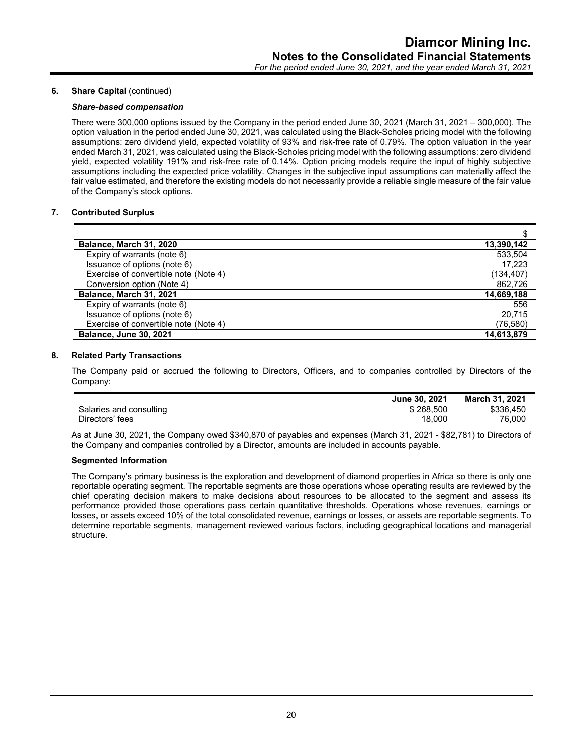## **6.** Share Capital (continued)

#### *Share-based compensation*

There were 300,000 options issued by the Company in the period ended June 30, 2021 (March 31, 2021 – 300,000). The option valuation in the period ended June 30, 2021, was calculated using the Black-Scholes pricing model with the following assumptions: zero dividend yield, expected volatility of 93% and risk-free rate of 0.79%. The option valuation in the year ended March 31, 2021, was calculated using the Black-Scholes pricing model with the following assumptions: zero dividend yield, expected volatility 191% and risk-free rate of 0.14%. Option pricing models require the input of highly subjective assumptions including the expected price volatility. Changes in the subjective input assumptions can materially affect the fair value estimated, and therefore the existing models do not necessarily provide a reliable single measure of the fair value of the Company's stock options.

#### **7. Contributed Surplus**

| Balance, March 31, 2020               | 13,390,142 |
|---------------------------------------|------------|
| Expiry of warrants (note 6)           | 533,504    |
| Issuance of options (note 6)          | 17.223     |
| Exercise of convertible note (Note 4) | (134, 407) |
| Conversion option (Note 4)            | 862.726    |
| Balance, March 31, 2021               | 14,669,188 |
| Expiry of warrants (note 6)           | 556        |
| Issuance of options (note 6)          | 20.715     |
| Exercise of convertible note (Note 4) | (76,580)   |
| <b>Balance, June 30, 2021</b>         | 14,613,879 |

#### **8. Related Party Transactions**

The Company paid or accrued the following to Directors, Officers, and to companies controlled by Directors of the Company:

|                         | June 30, 2021 | 2021<br>March 31. |
|-------------------------|---------------|-------------------|
| Salaries and consulting | \$268.500     | \$336,450         |
| Directors' fees         | 18.000        | 76.000            |
|                         |               |                   |

As at June 30, 2021, the Company owed \$340,870 of payables and expenses (March 31, 2021 - \$82,781) to Directors of the Company and companies controlled by a Director, amounts are included in accounts payable.

#### **Segmented Information**

The Company's primary business is the exploration and development of diamond properties in Africa so there is only one reportable operating segment. The reportable segments are those operations whose operating results are reviewed by the chief operating decision makers to make decisions about resources to be allocated to the segment and assess its performance provided those operations pass certain quantitative thresholds. Operations whose revenues, earnings or losses, or assets exceed 10% of the total consolidated revenue, earnings or losses, or assets are reportable segments. To determine reportable segments, management reviewed various factors, including geographical locations and managerial structure.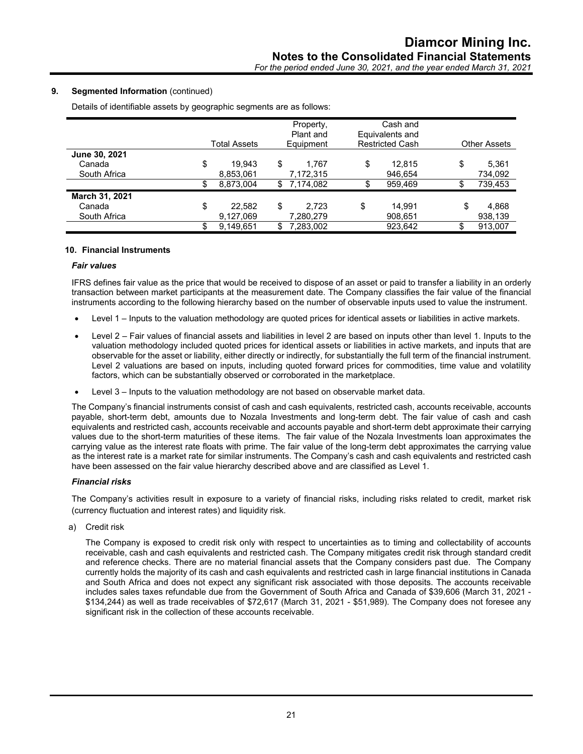## **9. Segmented Information** (continued)

Details of identifiable assets by geographic segments are as follows:

|                | Total Assets | Property,<br>Plant and<br>Equipment | Cash and<br>Equivalents and<br><b>Restricted Cash</b> | <b>Other Assets</b> |
|----------------|--------------|-------------------------------------|-------------------------------------------------------|---------------------|
| June 30, 2021  |              |                                     |                                                       |                     |
| Canada         | \$<br>19.943 | \$<br>1.767                         | \$<br>12.815                                          | \$<br>5,361         |
| South Africa   | 8,853,061    | 7,172,315                           | 946.654                                               | 734,092             |
|                | 8,873,004    | \$<br>7,174,082                     | 959,469                                               | 739,453             |
| March 31, 2021 |              |                                     |                                                       |                     |
| Canada         | \$<br>22,582 | \$<br>2.723                         | \$<br>14.991                                          | \$<br>4,868         |
| South Africa   | 9,127,069    | 7,280,279                           | 908,651                                               | 938,139             |
|                | 9,149,651    | 7,283,002                           | 923,642                                               | 913.007             |

#### **10. Financial Instruments**

#### *Fair values*

IFRS defines fair value as the price that would be received to dispose of an asset or paid to transfer a liability in an orderly transaction between market participants at the measurement date. The Company classifies the fair value of the financial instruments according to the following hierarchy based on the number of observable inputs used to value the instrument.

- Level 1 Inputs to the valuation methodology are quoted prices for identical assets or liabilities in active markets.
- Level 2 Fair values of financial assets and liabilities in level 2 are based on inputs other than level 1. Inputs to the valuation methodology included quoted prices for identical assets or liabilities in active markets, and inputs that are observable for the asset or liability, either directly or indirectly, for substantially the full term of the financial instrument. Level 2 valuations are based on inputs, including quoted forward prices for commodities, time value and volatility factors, which can be substantially observed or corroborated in the marketplace.
- Level 3 Inputs to the valuation methodology are not based on observable market data.

The Company's financial instruments consist of cash and cash equivalents, restricted cash, accounts receivable, accounts payable, short-term debt, amounts due to Nozala Investments and long-term debt. The fair value of cash and cash equivalents and restricted cash, accounts receivable and accounts payable and short-term debt approximate their carrying values due to the short-term maturities of these items. The fair value of the Nozala Investments loan approximates the carrying value as the interest rate floats with prime. The fair value of the long-term debt approximates the carrying value as the interest rate is a market rate for similar instruments. The Company's cash and cash equivalents and restricted cash have been assessed on the fair value hierarchy described above and are classified as Level 1.

#### *Financial risks*

The Company's activities result in exposure to a variety of financial risks, including risks related to credit, market risk (currency fluctuation and interest rates) and liquidity risk.

a) Credit risk

The Company is exposed to credit risk only with respect to uncertainties as to timing and collectability of accounts receivable, cash and cash equivalents and restricted cash. The Company mitigates credit risk through standard credit and reference checks. There are no material financial assets that the Company considers past due. The Company currently holds the majority of its cash and cash equivalents and restricted cash in large financial institutions in Canada and South Africa and does not expect any significant risk associated with those deposits. The accounts receivable includes sales taxes refundable due from the Government of South Africa and Canada of \$39,606 (March 31, 2021 - \$134,244) as well as trade receivables of \$72,617 (March 31, 2021 - \$51,989). The Company does not foresee any significant risk in the collection of these accounts receivable.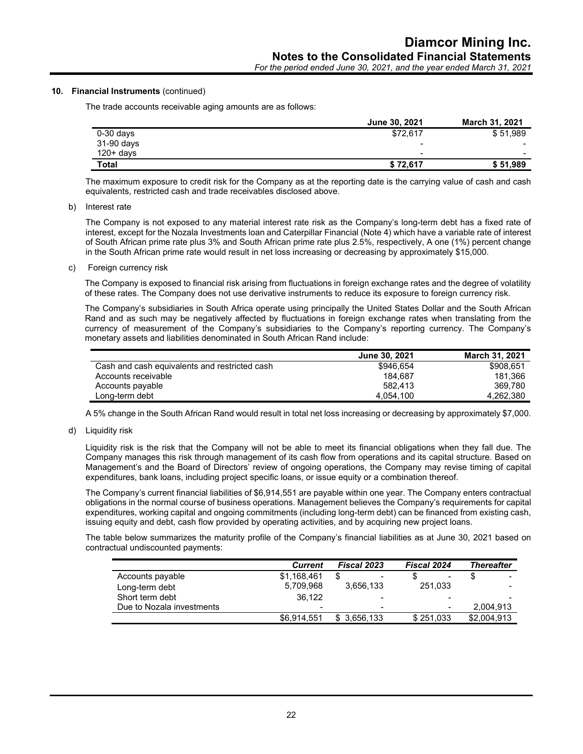*For the period ended June 30, 2021, and the year ended March 31, 2021*

## **10. Financial Instruments** (continued)

The trade accounts receivable aging amounts are as follows:

|              | June 30, 2021            | <b>March 31, 2021</b> |
|--------------|--------------------------|-----------------------|
| $0-30$ days  | \$72,617                 | \$51,989              |
| 31-90 days   | $\overline{\phantom{0}}$ |                       |
| $120 + days$ | $\,$                     | $\,$                  |
| <b>Total</b> | \$72.617                 | \$51,989              |

The maximum exposure to credit risk for the Company as at the reporting date is the carrying value of cash and cash equivalents, restricted cash and trade receivables disclosed above.

#### b) Interest rate

The Company is not exposed to any material interest rate risk as the Company's long-term debt has a fixed rate of interest, except for the Nozala Investments loan and Caterpillar Financial (Note 4) which have a variable rate of interest of South African prime rate plus 3% and South African prime rate plus 2.5%, respectively, A one (1%) percent change in the South African prime rate would result in net loss increasing or decreasing by approximately \$15,000.

c) Foreign currency risk

The Company is exposed to financial risk arising from fluctuations in foreign exchange rates and the degree of volatility of these rates. The Company does not use derivative instruments to reduce its exposure to foreign currency risk.

The Company's subsidiaries in South Africa operate using principally the United States Dollar and the South African Rand and as such may be negatively affected by fluctuations in foreign exchange rates when translating from the currency of measurement of the Company's subsidiaries to the Company's reporting currency. The Company's monetary assets and liabilities denominated in South African Rand include:

|                                               | <b>June 30, 2021</b> | <b>March 31, 2021</b> |
|-----------------------------------------------|----------------------|-----------------------|
| Cash and cash equivalents and restricted cash | \$946.654            | \$908.651             |
| Accounts receivable                           | 184.687              | 181.366               |
| Accounts payable                              | 582.413              | 369.780               |
| Long-term debt                                | 4.054.100            | 4.262.380             |

A 5% change in the South African Rand would result in total net loss increasing or decreasing by approximately \$7,000.

d) Liquidity risk

Liquidity risk is the risk that the Company will not be able to meet its financial obligations when they fall due. The Company manages this risk through management of its cash flow from operations and its capital structure. Based on Management's and the Board of Directors' review of ongoing operations, the Company may revise timing of capital expenditures, bank loans, including project specific loans, or issue equity or a combination thereof.

The Company's current financial liabilities of \$6,914,551 are payable within one year. The Company enters contractual obligations in the normal course of business operations. Management believes the Company's requirements for capital expenditures, working capital and ongoing commitments (including long-term debt) can be financed from existing cash, issuing equity and debt, cash flow provided by operating activities, and by acquiring new project loans.

The table below summarizes the maturity profile of the Company's financial liabilities as at June 30, 2021 based on contractual undiscounted payments:

|                           | <b>Current</b>           | <b>Fiscal 2023</b> | <b>Fiscal 2024</b>       | Thereafter               |
|---------------------------|--------------------------|--------------------|--------------------------|--------------------------|
| Accounts payable          | \$1,168,461              |                    | $\blacksquare$           | $\overline{\phantom{0}}$ |
| Long-term debt            | 5.709.968                | 3,656,133          | 251.033                  | -                        |
| Short term debt           | 36.122                   |                    | $\overline{\phantom{0}}$ |                          |
| Due to Nozala investments | $\overline{\phantom{0}}$ | -                  | $\,$                     | 2.004.913                |
|                           | \$6.914.551              | 3.656.133          | \$251.033                | \$2,004,913              |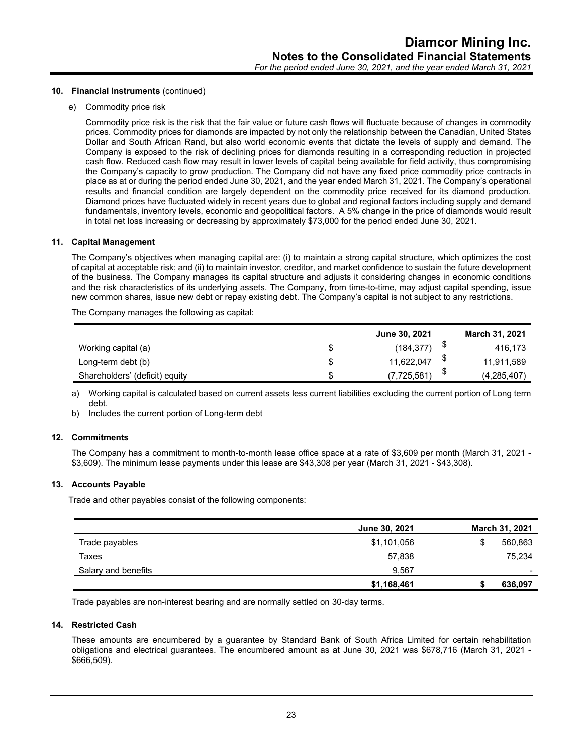#### **10. Financial Instruments** (continued)

e) Commodity price risk

Commodity price risk is the risk that the fair value or future cash flows will fluctuate because of changes in commodity prices. Commodity prices for diamonds are impacted by not only the relationship between the Canadian, United States Dollar and South African Rand, but also world economic events that dictate the levels of supply and demand. The Company is exposed to the risk of declining prices for diamonds resulting in a corresponding reduction in projected cash flow. Reduced cash flow may result in lower levels of capital being available for field activity, thus compromising the Company's capacity to grow production. The Company did not have any fixed price commodity price contracts in place as at or during the period ended June 30, 2021, and the year ended March 31, 2021. The Company's operational results and financial condition are largely dependent on the commodity price received for its diamond production. Diamond prices have fluctuated widely in recent years due to global and regional factors including supply and demand fundamentals, inventory levels, economic and geopolitical factors. A 5% change in the price of diamonds would result in total net loss increasing or decreasing by approximately \$73,000 for the period ended June 30, 2021.

#### **11. Capital Management**

The Company's objectives when managing capital are: (i) to maintain a strong capital structure, which optimizes the cost of capital at acceptable risk; and (ii) to maintain investor, creditor, and market confidence to sustain the future development of the business. The Company manages its capital structure and adjusts it considering changes in economic conditions and the risk characteristics of its underlying assets. The Company, from time-to-time, may adjust capital spending, issue new common shares, issue new debt or repay existing debt. The Company's capital is not subject to any restrictions.

The Company manages the following as capital:

|                                |    | June 30, 2021 | <b>March 31, 2021</b> |
|--------------------------------|----|---------------|-----------------------|
| Working capital (a)            | S  | (184, 377)    | 416,173               |
| Long-term debt (b)             | \$ | 11,622,047    | 11,911,589            |
| Shareholders' (deficit) equity | \$ | (7,725,581)   | (4, 285, 407)         |

a) Working capital is calculated based on current assets less current liabilities excluding the current portion of Long term debt.

b) Includes the current portion of Long-term debt

#### **12. Commitments**

The Company has a commitment to month-to-month lease office space at a rate of \$3,609 per month (March 31, 2021 - \$3,609). The minimum lease payments under this lease are \$43,308 per year (March 31, 2021 - \$43,308).

#### **13. Accounts Payable**

Trade and other payables consist of the following components:

|                     | June 30, 2021 | March 31, 2021  |
|---------------------|---------------|-----------------|
| Trade payables      | \$1,101,056   | 560,863         |
| Taxes               | 57,838        | 75,234          |
| Salary and benefits | 9.567         | $\qquad \qquad$ |
|                     | \$1,168,461   | 636,097         |

Trade payables are non-interest bearing and are normally settled on 30-day terms.

#### **14. Restricted Cash**

These amounts are encumbered by a guarantee by Standard Bank of South Africa Limited for certain rehabilitation obligations and electrical guarantees. The encumbered amount as at June 30, 2021 was \$678,716 (March 31, 2021 - \$666,509).